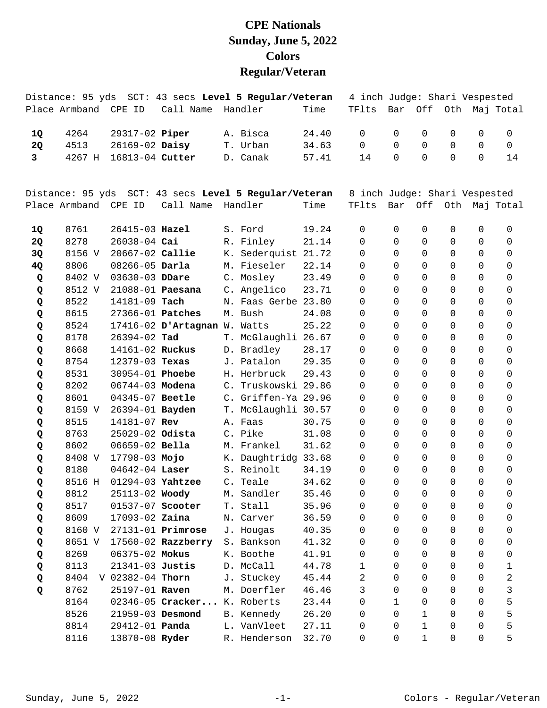## **CPE Nationals Sunday, June 5, 2022 Colors Regular/Veteran**

|              |                      |                    |                              | Distance: 95 yds SCT: 43 secs Level 5 Regular/Veteran |       | 4 inch Judge: Shari Vespested |              |             |                     |                |                       |
|--------------|----------------------|--------------------|------------------------------|-------------------------------------------------------|-------|-------------------------------|--------------|-------------|---------------------|----------------|-----------------------|
|              | Place Armband CPE ID |                    | Call Name                    | Handler                                               | Time  | TFlts                         |              |             |                     |                | Bar Off Oth Maj Total |
| 1Q           | 4264                 | 29317-02 Piper     |                              | A. Bisca                                              | 24.40 | $\Omega$                      | 0            | 0           | 0                   | 0              | 0                     |
| <b>2Q</b>    | 4513                 | $26169 - 02$ Daisy |                              | T. Urban                                              | 34.63 | $\mathsf{O}$                  | $\Omega$     | 0           | 0                   | 0              | $\mathbf 0$           |
| $\mathbf{3}$ | 4267 H               | 16813-04 Cutter    |                              | D. Canak                                              | 57.41 | 14                            | $\Omega$     | 0           | 0                   | 0              | 14                    |
|              |                      |                    |                              |                                                       |       |                               |              |             |                     |                |                       |
|              |                      |                    |                              | Distance: 95 yds SCT: 43 secs Level 5 Regular/Veteran |       | 8 inch Judge: Shari Vespested |              |             |                     |                |                       |
|              | Place Armband CPE ID |                    | Call Name                    | Handler                                               | Time  | TFlts                         |              |             |                     |                | Bar Off Oth Maj Total |
| 1Q           | 8761                 | $26415 - 03$ Hazel |                              | S. Ford                                               | 19.24 | $\mathbf 0$                   | 0            | 0           | 0                   | 0              | 0                     |
| 2Q           | 8278                 | 26038-04 Cai       |                              | R. Finley                                             | 21.14 | 0                             | $\Omega$     | 0           | 0                   | 0              | 0                     |
| 3Q           | 8156 V               | 20667-02 Callie    |                              | K. Sederquist 21.72                                   |       | 0                             | $\mathbf 0$  | 0           | 0                   | 0              | 0                     |
| 4Q           | 8806                 | 08266-05 Darla     |                              | M. Fieseler                                           | 22.14 | 0                             | $\Omega$     | 0           | 0                   | 0              | 0                     |
| Q            | 8402 V               | 03630-03 DDare     |                              | C. Mosley                                             | 23.49 | 0                             | $\Omega$     | 0           | 0                   | 0              | 0                     |
| Q            | 8512 V               |                    | 21088-01 Paesana             | C. Angelico                                           | 23.71 | $\Omega$                      | $\Omega$     | 0           | 0                   | 0              | 0                     |
| Q            | 8522                 | 14181-09 Tach      |                              | N. Faas Gerbe 23.80                                   |       | 0                             | $\Omega$     | 0           | 0                   | 0              | 0                     |
| Q            | 8615                 | 27366-01 Patches   |                              | M. Bush                                               | 24.08 | 0                             | $\Omega$     | 0           | 0                   | 0              | 0                     |
| Q            | 8524                 |                    | 17416-02 D'Artagnan W. Watts |                                                       | 25.22 | 0                             | $\Omega$     | $\Omega$    | 0                   | 0              | 0                     |
| Q            | 8178                 | $26394 - 02$ Tad   |                              | T. McGlaughli 26.67                                   |       | $\Omega$                      | $\Omega$     | 0           | 0                   | 0              | 0                     |
| Q            | 8668                 | 14161-02 Ruckus    |                              | D. Bradley                                            | 28.17 | 0                             | $\Omega$     | 0           | 0                   | 0              | 0                     |
| Q            | 8754                 | 12379-03 Texas     |                              | J. Patalon                                            | 29.35 | 0                             | $\mathbf 0$  | 0           | 0                   | 0              | 0                     |
| Q            | 8531                 | 30954-01 Phoebe    |                              | H. Herbruck                                           | 29.43 | 0                             | $\Omega$     | $\Omega$    | 0                   | 0              | 0                     |
| Q            | 8202                 | 06744-03 Modena    |                              | C. Truskowski 29.86                                   |       | $\Omega$                      | $\Omega$     | 0           | 0                   | 0              | 0                     |
| Q            | 8601                 | 04345-07 Beetle    |                              | C. Griffen-Ya 29.96                                   |       | 0                             | $\Omega$     | 0           | 0                   | 0              | 0                     |
| Q            | 8159 V               | 26394-01 Bayden    |                              | T. McGlaughli 30.57                                   |       | 0                             | $\mathbf 0$  | 0           | 0                   | 0              | 0                     |
| Q            | 8515                 | 14181-07 Rev       |                              | A. Faas                                               | 30.75 | 0                             | $\Omega$     | 0           | 0                   | $\Omega$       | 0                     |
| Q            | 8763                 | 25029-02 Odista    |                              | C. Pike                                               | 31.08 | $\Omega$                      | $\Omega$     | 0           | 0                   | 0              | 0                     |
| Q            | 8602                 | 06659-02 Bella     |                              | M. Frankel                                            | 31.62 | $\Omega$                      | $\Omega$     | 0           | 0                   | $\Omega$       | 0                     |
| Q            | 8408 V               | 17798-03 Mojo      |                              | K. Daughtridg 33.68                                   |       | 0                             | $\mathbf 0$  | 0           | 0                   | 0              | 0                     |
| Q            | 8180                 | 04642-04 Laser     |                              | S. Reinolt                                            | 34.19 | 0                             | $\Omega$     | 0           | 0                   | 0              | 0                     |
| Q            | 8516 H               |                    | 01294-03 Yahtzee             | C. Teale                                              | 34.62 | 0                             | $\Omega$     | $\Omega$    | 0                   | 0              | 0                     |
| Q            | 8812                 |                    | 25113-02 Woody               | M. Sandler                                            | 35.46 | 0                             | $\Omega$     | $\Omega$    | $\cap$              | $\overline{0}$ | $\cap$                |
| Q            | 8517                 | 01537-07 Scooter   |                              | T. Stall                                              | 35.96 | 0                             | 0            | 0           | 0                   | 0              | 0                     |
| Q            | 8609                 | 17093-02 Zaina     |                              | N. Carver                                             | 36.59 | 0                             | $\Omega$     | 0           | 0                   | 0              | 0                     |
| Q            | 8160 V               |                    | $27131 - 01$ Primrose        | J. Hougas                                             | 40.35 | 0                             | $\Omega$     | 0           | 0                   | 0              | 0                     |
| Q            | 8651 V               |                    | 17560-02 Razzberry           | S. Bankson                                            | 41.32 | 0                             | $\Omega$     | 0           | $\mathbf 0$         | 0              | 0                     |
| Q            | 8269                 | 06375-02 Mokus     |                              | K. Boothe                                             | 41.91 | 0                             | $\mathbf 0$  | 0           | 0                   | 0              | 0                     |
| Q            | 8113                 | 21341-03 Justis    |                              | D. McCall                                             | 44.78 | $\mathbf{1}$                  | $\Omega$     | 0           | 0                   | 0              | 1                     |
| Q            | 8404                 | V 02382-04 Thorn   |                              | J. Stuckey                                            | 45.44 | 2                             | $\Omega$     | 0           | 0                   | 0              | 2                     |
| Q            | 8762                 | 25197-01 Raven     |                              | M. Doerfler                                           | 46.46 | 3                             | $\Omega$     | 0           | 0                   | 0              | 3                     |
|              | 8164                 |                    | 02346-05 Cracker             | K. Roberts                                            | 23.44 | $\Omega$                      | $\mathbf{1}$ | 0           | 0                   | 0              | 5                     |
|              | 8526                 |                    | 21959-03 Desmond             | B. Kennedy                                            | 26.20 | 0                             | $\mathbf 0$  | $\mathbf 1$ | 0                   | 0              | 5                     |
|              | 8814                 | 29412-01 Panda     |                              | L. VanVleet                                           | 27.11 | 0                             | 0            | $\mathbf 1$ | 0                   | 0              | 5                     |
|              | 8116                 | 13870-08 Ryder     |                              | R. Henderson                                          | 32.70 | 0                             | 0            | $\mathbf 1$ | $\mathsf{O}\xspace$ | 0              | 5                     |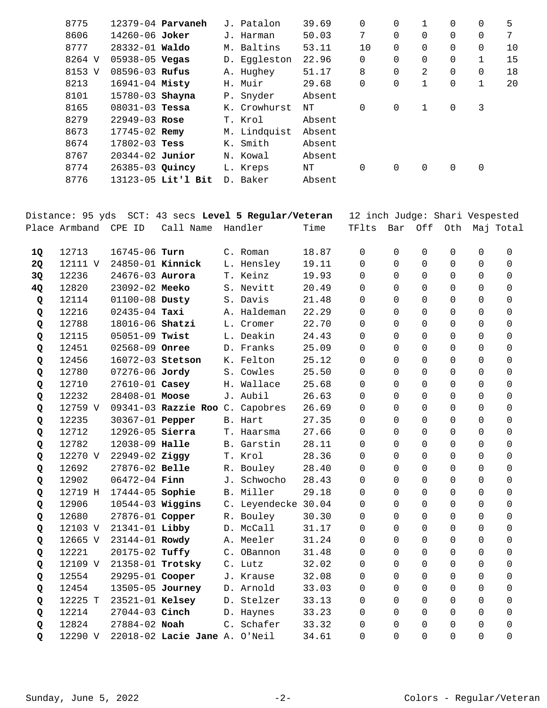| 8775   |  |                                                                                                                                                                                                                                                                                                     | 39.69                                                                                                                                                                                 | 0        | $\Omega$ |              | 0 | $\Omega$ | 5  |
|--------|--|-----------------------------------------------------------------------------------------------------------------------------------------------------------------------------------------------------------------------------------------------------------------------------------------------------|---------------------------------------------------------------------------------------------------------------------------------------------------------------------------------------|----------|----------|--------------|---|----------|----|
| 8606   |  |                                                                                                                                                                                                                                                                                                     | 50.03                                                                                                                                                                                 | 7        | $\Omega$ | $\Omega$     | 0 | 0        | 7  |
| 8777   |  |                                                                                                                                                                                                                                                                                                     | 53.11                                                                                                                                                                                 | 10       | 0        | $\Omega$     | 0 | 0        | 10 |
| 8264 V |  |                                                                                                                                                                                                                                                                                                     | 22.96                                                                                                                                                                                 | 0        | $\Omega$ | $\Omega$     | 0 | 1        | 15 |
| 8153 V |  |                                                                                                                                                                                                                                                                                                     | 51.17                                                                                                                                                                                 | 8        | $\Omega$ | 2            | 0 | 0        | 18 |
| 8213   |  |                                                                                                                                                                                                                                                                                                     | 29.68                                                                                                                                                                                 | 0        | 0        | 1            | 0 | 1        | 20 |
| 8101   |  |                                                                                                                                                                                                                                                                                                     | Absent                                                                                                                                                                                |          |          |              |   |          |    |
| 8165   |  |                                                                                                                                                                                                                                                                                                     | NΤ                                                                                                                                                                                    | $\Omega$ | $\Omega$ | $\mathbf{1}$ | 0 | 3        |    |
| 8279   |  |                                                                                                                                                                                                                                                                                                     | Absent                                                                                                                                                                                |          |          |              |   |          |    |
| 8673   |  |                                                                                                                                                                                                                                                                                                     | Absent                                                                                                                                                                                |          |          |              |   |          |    |
| 8674   |  |                                                                                                                                                                                                                                                                                                     | Absent                                                                                                                                                                                |          |          |              |   |          |    |
| 8767   |  |                                                                                                                                                                                                                                                                                                     | Absent                                                                                                                                                                                |          |          |              |   |          |    |
| 8774   |  |                                                                                                                                                                                                                                                                                                     | NΤ                                                                                                                                                                                    | 0        | 0        | 0            | 0 | 0        |    |
| 8776   |  |                                                                                                                                                                                                                                                                                                     | Absent                                                                                                                                                                                |          |          |              |   |          |    |
|        |  | 12379-04 Parvaneh<br>$14260 - 06$ Joker<br>$28332 - 01$ Waldo<br>$05938 - 05$ Vegas<br>$08596 - 03$ Rufus<br>$16941 - 04$ Misty<br>15780-03 Shayna<br>$08031 - 03$ Tessa<br>$22949 - 03$ Rose<br>17745-02 Remy<br>$17802 - 03$ Tess<br>$20344 - 02$ Junior<br>26385-03 Quincy<br>13123-05 Lit'l Bit | J. Patalon<br>J. Harman<br>M. Baltins<br>D. Eqqleston<br>A. Hughey<br>H. Muir<br>P. Snyder<br>K. Crowhurst<br>T. Krol<br>M. Lindquist<br>K. Smith<br>N. Kowal<br>L. Kreps<br>D. Baker |          |          |              |   |          |    |

|    |                      |                        |                                 | Distance: 95 yds SCT: 43 secs Level 5 Regular/Veteran |       | 12 inch Judge: Shari Vespested |             |          |             |             |                   |
|----|----------------------|------------------------|---------------------------------|-------------------------------------------------------|-------|--------------------------------|-------------|----------|-------------|-------------|-------------------|
|    | Place Armband CPE ID |                        | Call Name                       | Handler                                               | Time  | TFlts                          | Bar         |          |             |             | Off Oth Maj Total |
| 1Q | 12713                | 16745-06 Turn          |                                 | C. Roman                                              | 18.87 | $\mathbf 0$                    | $\mathbf 0$ | 0        | $\mathsf 0$ | $\mathbf 0$ | $\mathbf 0$       |
| 2Q | 12111 V              | 24850-01 Kinnick       |                                 | L. Hensley                                            | 19.11 | $\Omega$                       | 0           | 0        | $\mathbf 0$ | $\Omega$    | $\Omega$          |
| 3Q | 12236                | 24676-03 Aurora        |                                 | T. Keinz                                              | 19.93 | $\Omega$                       | $\Omega$    | $\Omega$ | $\Omega$    | $\Omega$    | $\Omega$          |
| 4Q | 12820                | 23092-02 Meeko         |                                 | S. Nevitt                                             | 20.49 | $\Omega$                       | $\Omega$    | $\Omega$ | $\Omega$    | $\Omega$    | $\Omega$          |
| Q  | 12114                | 01100-08 Dusty         |                                 | S. Davis                                              | 21.48 | $\Omega$                       | $\Omega$    | $\Omega$ | $\Omega$    | $\Omega$    | $\Omega$          |
| Q  | 12216                | $02435 - 04$ Taxi      |                                 | A. Haldeman                                           | 22.29 | $\Omega$                       | $\Omega$    | $\Omega$ | $\Omega$    | $\Omega$    | $\Omega$          |
| Q  | 12788                | 18016-06 Shatzi        |                                 | L. Cromer                                             | 22.70 | $\Omega$                       | $\Omega$    | $\Omega$ | $\Omega$    | $\Omega$    | $\Omega$          |
| Q  | 12115                | 05051-09 Twist         |                                 | L. Deakin                                             | 24.43 | 0                              | $\Omega$    | 0        | $\mathbf 0$ | $\Omega$    | $\Omega$          |
| Q  | 12451                | 02568-09 Onree         |                                 | D. Franks                                             | 25.09 | $\Omega$                       | $\Omega$    | $\Omega$ | $\Omega$    | $\Omega$    | $\Omega$          |
| Q  | 12456                | 16072-03 Stetson       |                                 | K. Felton                                             | 25.12 | 0                              | 0           | 0        | $\mathsf 0$ | 0           | 0                 |
| Q  | 12780                | 07276-06 Jordy         |                                 | S. Cowles                                             | 25.50 | 0                              | 0           | 0        | $\mathbf 0$ | 0           | $\mathbf 0$       |
| Q  | 12710                | 27610-01 Casey         |                                 | H. Wallace                                            | 25.68 | 0                              | 0           | 0        | $\mathsf 0$ | $\Omega$    | $\mathbf 0$       |
| Q  | 12232                | 28408-01 Moose         |                                 | J. Aubil                                              | 26.63 | 0                              | 0           | 0        | $\mathbf 0$ | $\Omega$    | $\Omega$          |
| Q  | 12759 V              |                        | 09341-03 Razzie Roo C. Capobres |                                                       | 26.69 | $\Omega$                       | $\Omega$    | 0        | $\mathbf 0$ | $\Omega$    | $\Omega$          |
| Q  | 12235                | 30367-01 <b>Pepper</b> |                                 | B. Hart                                               | 27.35 | $\Omega$                       | $\Omega$    | 0        | 0           | $\Omega$    | $\Omega$          |
| Q  | 12712                | 12926-05 Sierra        |                                 | T. Haarsma                                            | 27.66 | $\Omega$                       | $\Omega$    | $\Omega$ | $\Omega$    | $\Omega$    | $\Omega$          |
| Q  | 12782                | 12038-09 Halle         |                                 | B. Garstin                                            | 28.11 | 0                              | $\mathbf 0$ | 0        | 0           | $\Omega$    | $\Omega$          |
| Q  | 12270 V              | $22949 - 02$ Ziggy     |                                 | T. Krol                                               | 28.36 | $\Omega$                       | $\Omega$    | $\Omega$ | $\Omega$    | $\Omega$    | $\Omega$          |
| Q  | 12692                | 27876-02 Belle         |                                 | R. Bouley                                             | 28.40 | 0                              | $\mathbf 0$ | 0        | $\mathbf 0$ | $\Omega$    | $\Omega$          |
| Q  | 12902                | $06472 - 04$ Finn      |                                 | J. Schwocho                                           | 28.43 | $\Omega$                       | $\Omega$    | 0        | $\Omega$    | $\Omega$    | $\Omega$          |
| Q  | 12719 H              | 17444-05 Sophie        |                                 | B. Miller                                             | 29.18 | 0                              | $\mathbf 0$ | 0        | $\mathsf 0$ | $\Omega$    | 0                 |
| Q  | 12906                | $10544-03$ Wiggins     |                                 | C. Leyendecke 30.04                                   |       | 0                              | $\Omega$    | 0        | $\mathbf 0$ | $\Omega$    | $\mathbf 0$       |
| Q  | 12680                | 27876-01 Copper        |                                 | R. Bouley                                             | 30.30 | 0                              | $\Omega$    | $\Omega$ | $\mathbf 0$ | 0           | $\mathbf 0$       |
| Q  | 12103 V              | 21341-01 Libby         |                                 | D. McCall                                             | 31.17 | 0                              | $\Omega$    | 0        | $\mathbf 0$ | $\Omega$    | $\Omega$          |
| Q  | 12665 V              | 23144-01 Rowdy         |                                 | A. Meeler                                             | 31.24 | $\Omega$                       | $\Omega$    | $\Omega$ | $\mathbf 0$ | $\Omega$    | $\Omega$          |
| Q  | 12221                | 20175-02 Tuffy         |                                 | C. OBannon                                            | 31.48 | $\Omega$                       | $\Omega$    | 0        | 0           | $\Omega$    | $\Omega$          |
| Q  | 12109 V              |                        | 21358-01 Trotsky                | C. Lutz                                               | 32.02 | $\Omega$                       | $\Omega$    | $\Omega$ | $\Omega$    | $\Omega$    | $\Omega$          |
| Q  | 12554                | 29295-01 Cooper        |                                 | J. Krause                                             | 32.08 | 0                              | $\Omega$    | 0        | $\mathbf 0$ | $\Omega$    | $\Omega$          |
| Q  | 12454                |                        | 13505-05 Journey                | D. Arnold                                             | 33.03 | $\Omega$                       | $\Omega$    | $\Omega$ | $\Omega$    | $\Omega$    | $\Omega$          |
| Q  | 12225 T              | 23521-01 Kelsey        |                                 | D. Stelzer                                            | 33.13 | 0                              | $\Omega$    | 0        | $\mathbf 0$ | $\Omega$    | $\Omega$          |
| Q  | 12214                | 27044-03 Cinch         |                                 | D. Haynes                                             | 33.23 | 0                              | $\mathbf 0$ | 0        | 0           | $\Omega$    | $\Omega$          |
| Q  | 12824                | 27884-02 Noah          |                                 | C. Schafer                                            | 33.32 | $\Omega$                       | $\Omega$    | $\Omega$ | $\Omega$    | $\Omega$    | $\Omega$          |
| Q  | 12290 V              |                        | 22018-02 Lacie Jane A. O'Neil   |                                                       | 34.61 | $\Omega$                       | $\Omega$    | $\Omega$ | $\Omega$    | $\Omega$    | $\Omega$          |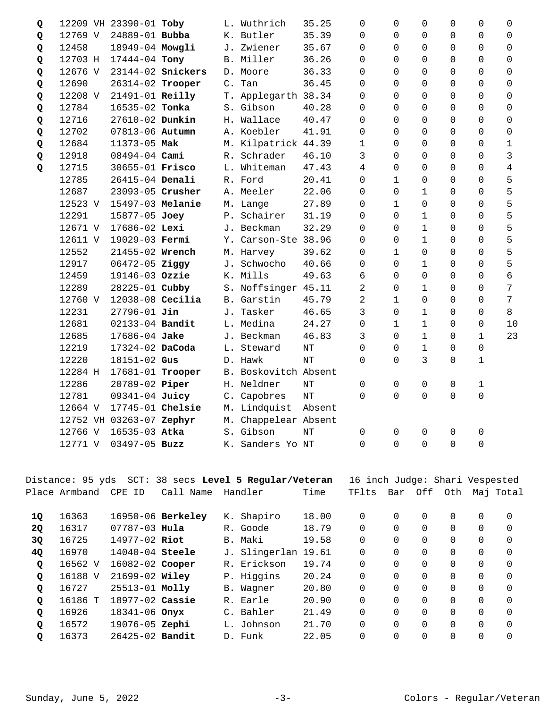| Q |         | 12209 VH 23390-01 Toby   |                   |                | L. Wuthrich          | 35.25  | 0                   | $\mathbf 0$  | $\mathbf 0$    | 0        | 0                   | $\mathbf 0$         |
|---|---------|--------------------------|-------------------|----------------|----------------------|--------|---------------------|--------------|----------------|----------|---------------------|---------------------|
| Q | 12769 V | 24889-01 Bubba           |                   |                | K. Butler            | 35.39  | $\Omega$            | $\Omega$     | $\Omega$       | 0        | $\Omega$            | $\Omega$            |
| Q | 12458   | 18949-04 Mowgli          |                   | J.             | Zwiener              | 35.67  | $\Omega$            | $\Omega$     | $\Omega$       | 0        | $\Omega$            | $\Omega$            |
| Q | 12703 H | 17444-04 Tony            |                   |                | B. Miller            | 36.26  | 0                   | $\Omega$     | 0              | 0        | 0                   | $\mathbf 0$         |
| Q | 12676 V |                          | 23144-02 Snickers |                | D. Moore             | 36.33  | $\Omega$            | $\Omega$     | $\Omega$       | $\Omega$ | $\Omega$            | $\Omega$            |
| Q | 12690   | 26314-02 Trooper         |                   | $\mathsf{C}$ . | Tan                  | 36.45  | $\Omega$            | $\Omega$     | $\Omega$       | 0        | $\Omega$            | $\mathbf 0$         |
| Q | 12208 V | 21491-01 Reilly          |                   |                | T. Applegarth 38.34  |        | $\Omega$            | $\Omega$     | $\mathbf 0$    | 0        | 0                   | $\mathbf 0$         |
| Q | 12784   | 16535-02 Tonka           |                   |                | S. Gibson            | 40.28  | $\Omega$            | $\Omega$     | $\Omega$       | $\Omega$ | $\Omega$            | $\Omega$            |
| Q | 12716   | 27610-02 Dunkin          |                   |                | H. Wallace           | 40.47  | 0                   | $\Omega$     | $\Omega$       | 0        | $\Omega$            | $\mathbf 0$         |
| Q | 12702   | 07813-06 Autumn          |                   |                | A. Koebler           | 41.91  | $\mathsf{O}\xspace$ | $\Omega$     | $\Omega$       | 0        | $\mathsf{O}\xspace$ | $\mathsf{O}\xspace$ |
| Q | 12684   | 11373-05 Mak             |                   |                | M. Kilpatrick 44.39  |        | $\mathbf 1$         | $\Omega$     | $\Omega$       | 0        | 0                   | 1                   |
| Q | 12918   | $08494 - 04$ Cami        |                   |                | R. Schrader          | 46.10  | 3                   | $\Omega$     | $\Omega$       | 0        | 0                   | 3                   |
| Q | 12715   | 30655-01 Frisco          |                   |                | L. Whiteman          | 47.43  | 4                   | $\Omega$     | $\Omega$       | 0        | 0                   | $\overline{4}$      |
|   | 12785   | 26415-04 Denali          |                   |                | R. Ford              | 20.41  | 0                   | $\mathbf{1}$ | 0              | 0        | 0                   | 5                   |
|   | 12687   | 23093-05 Crusher         |                   |                | A. Meeler            | 22.06  | 0                   | $\Omega$     | $\mathbf 1$    | 0        | 0                   | 5                   |
|   | 12523 V | 15497-03 Melanie         |                   |                | M. Lange             | 27.89  | $\Omega$            | $\mathbf{1}$ | $\Omega$       | 0        | 0                   | 5                   |
|   | 12291   | 15877-05 Joey            |                   | P.             | Schairer             | 31.19  | $\Omega$            | $\Omega$     | $\mathbf 1$    | 0        | 0                   | 5                   |
|   | 12671 V | 17686-02 Lexi            |                   |                | J. Beckman           | 32.29  | 0                   | $\Omega$     | $\mathbf 1$    | 0        | 0                   | 5                   |
|   | 12611 V | 19029-03 Fermi           |                   |                | Y. Carson-Ste 38.96  |        | $\Omega$            | $\Omega$     | $\mathbf 1$    | 0        | $\Omega$            | 5                   |
|   | 12552   | 21455-02 Wrench          |                   |                | M. Harvey            | 39.62  | 0                   | $\mathbf{1}$ | $\overline{0}$ | 0        | 0                   | 5                   |
|   | 12917   | 06472-05 Ziggy           |                   |                | J. Schwocho          | 40.66  | $\Omega$            | $\Omega$     | $\mathbf 1$    | 0        | $\Omega$            | 5                   |
|   | 12459   | 19146-03 Ozzie           |                   |                | K. Mills             | 49.63  | 6                   | $\Omega$     | $\Omega$       | 0        | $\Omega$            | $\epsilon$          |
|   | 12289   | 28225-01 Cubby           |                   |                | S. Noffsinger 45.11  |        | 2                   | 0            | $\mathbf 1$    | 0        | 0                   | 7                   |
|   | 12760 V | 12038-08 Cecilia         |                   |                | B. Garstin           | 45.79  | 2                   | $\mathbf{1}$ | $\Omega$       | 0        | 0                   | 7                   |
|   | 12231   | $27796 - 01$ Jin         |                   | J.             | Tasker               | 46.65  | 3                   | 0            | $\mathbf{1}$   | 0        | 0                   | 8                   |
|   | 12681   | 02133-04 Bandit          |                   |                | L. Medina            | 24.27  | 0                   | $\mathbf{1}$ | $\mathbf{1}$   | 0        | 0                   | 10                  |
|   | 12685   | 17686-04 Jake            |                   |                | J. Beckman           | 46.83  | 3                   | $\Omega$     | $\mathbf 1$    | 0        | $\mathbf 1$         | 23                  |
|   | 12219   | 17324-02 DaCoda          |                   |                | L. Steward           | NT     | $\Omega$            | $\Omega$     | $\mathbf{1}$   | 0        | $\mathsf{O}\xspace$ |                     |
|   | 12220   | 18151-02 Gus             |                   |                | D. Hawk              | NT     | $\Omega$            | $\Omega$     | 3              | $\Omega$ | $\mathbf 1$         |                     |
|   | 12284 H | 17681-01 Trooper         |                   |                | B. Boskovitch Absent |        |                     |              |                |          |                     |                     |
|   | 12286   | 20789-02 Piper           |                   |                | H. Neldner           | NT     | 0                   | $\mathbf 0$  | 0              | 0        | 1                   |                     |
|   | 12781   | 09341-04 Juicy           |                   |                | C. Capobres          | NT     | $\Omega$            | $\Omega$     | $\mathbf 0$    | 0        | 0                   |                     |
|   | 12664 V | 17745-01 Chelsie         |                   |                | M. Lindquist         | Absent |                     |              |                |          |                     |                     |
|   |         | 12752 VH 03263-07 Zephyr |                   |                | M. Chappelear Absent |        |                     |              |                |          |                     |                     |
|   | 12766 V | 16535-03 Atka            |                   |                | S. Gibson            | NT     | 0                   | 0            | $\Omega$       | 0        | 0                   |                     |
|   | 12771 V | 03497-05 Buzz            |                   |                | K. Sanders Yo NT     |        | $\overline{0}$      | $\Omega$     | 0              | 0        | 0                   |                     |

|              |               |                     |                   | Distance: 95 yds  SCT: 38 secs <b>Level 5 Regular/Veteran</b> |       | 16 inch Judge: Shari Vespested |          |          |     |          |           |
|--------------|---------------|---------------------|-------------------|---------------------------------------------------------------|-------|--------------------------------|----------|----------|-----|----------|-----------|
|              | Place Armband | CPE ID              | Call Name         | Handler                                                       | Time  | TFlts                          | Bar      | Off      | Oth |          | Maj Total |
| 1Q           | 16363         |                     | 16950-06 Berkeley | K. Shapiro                                                    | 18.00 | 0                              | $\Omega$ | $\Omega$ | 0   | $\Omega$ | $\Omega$  |
| 2Q           | 16317         | $07787 - 03$ Hula   |                   | R. Goode                                                      | 18.79 | $\Omega$                       | 0        | $\Omega$ | 0   | $\Omega$ | $\Omega$  |
| 3Q           | 16725         | 14977-02 Riot       |                   | B. Maki                                                       | 19.58 | $\Omega$                       | $\Omega$ | $\Omega$ | 0   | $\Omega$ | $\Omega$  |
| 4Q           | 16970         | $14040 - 04$ Steele |                   | J. Slingerlan 19.61                                           |       | $\Omega$                       | $\Omega$ | $\Omega$ | 0   | $\Omega$ | $\Omega$  |
| Q            | 16562 V       | 16082-02 Cooper     |                   | R. Erickson                                                   | 19.74 | 0                              | $\Omega$ | $\Omega$ | 0   | 0        | $\Omega$  |
| $\mathbf{Q}$ | 16188 V       | $21699 - 02$ Wiley  |                   | P. Higgins                                                    | 20.24 | $\Omega$                       | $\Omega$ | $\Omega$ | 0   | $\Omega$ | $\Omega$  |
| $\mathbf Q$  | 16727         | 25513-01 Molly      |                   | B. Wagner                                                     | 20.80 | $\Omega$                       | $\Omega$ | $\Omega$ | 0   | $\Omega$ | $\Omega$  |
| Q            | 16186 T       | 18977-02 Cassie     |                   | R. Earle                                                      | 20.90 | $\Omega$                       | $\Omega$ | $\Omega$ | 0   | $\Omega$ | $\Omega$  |
| Q            | 16926         | $18341 - 06$ Onvx   |                   | C. Bahler                                                     | 21.49 | $\Omega$                       | $\Omega$ | $\Omega$ | 0   | $\Omega$ | $\Omega$  |
| Q            | 16572         | 19076-05 Zephi      |                   | L. Johnson                                                    | 21.70 | $\Omega$                       | $\Omega$ | $\Omega$ | 0   | $\Omega$ | $\Omega$  |
| Q            | 16373         | $26425 - 02$ Bandit |                   | D. Funk                                                       | 22.05 | 0                              | $\Omega$ |          | 0   | 0        | 0         |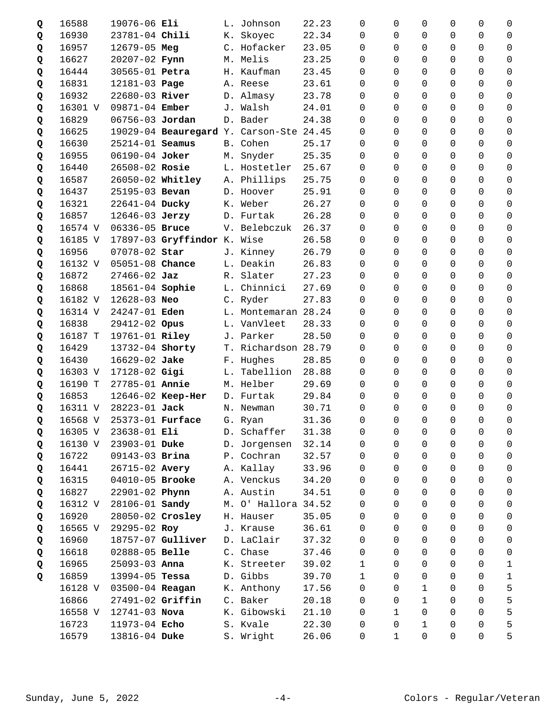| Q | 16588   | 19076-06 Eli        |                             |       | L. Johnson                              | 22.23 | $\Omega$     | 0              | 0              | 0              | 0              | 0                   |
|---|---------|---------------------|-----------------------------|-------|-----------------------------------------|-------|--------------|----------------|----------------|----------------|----------------|---------------------|
| Q | 16930   | 23781-04 Chili      |                             |       | K. Skoyec                               | 22.34 | $\Omega$     | $\Omega$       | $\Omega$       | $\Omega$       | $\Omega$       | $\Omega$            |
| Q | 16957   | $12679 - 05$ Meg    |                             |       | C. Hofacker                             | 23.05 | $\Omega$     | 0              | $\Omega$       | $\Omega$       | $\Omega$       | $\Omega$            |
| Q | 16627   | 20207-02 Fynn       |                             |       | M. Melis                                | 23.25 | $\Omega$     | $\Omega$       | $\Omega$       | 0              | $\Omega$       | $\Omega$            |
| Q | 16444   | 30565-01 Petra      |                             |       | H. Kaufman                              | 23.45 | $\Omega$     | $\Omega$       | $\Omega$       | $\Omega$       | $\Omega$       | 0                   |
| Q | 16831   | 12181-03 Page       |                             |       | A. Reese                                | 23.61 | $\Omega$     | 0              | $\Omega$       | 0              | $\Omega$       | $\Omega$            |
| Q | 16932   | 22680-03 River      |                             |       | D. Almasy                               | 23.78 | $\Omega$     | 0              | $\Omega$       | 0              | $\Omega$       | $\Omega$            |
| Q | 16301 V | 09871-04 Ember      |                             |       | J. Walsh                                | 24.01 | 0            | $\Omega$       | $\Omega$       | 0              | $\Omega$       | 0                   |
| Q | 16829   | 06756-03 Jordan     |                             |       | D. Bader                                | 24.38 | $\Omega$     | 0              | $\Omega$       | $\Omega$       | $\Omega$       | $\mathbf 0$         |
| Q | 16625   |                     |                             |       | 19029-04 Beauregard Y. Carson-Ste 24.45 |       | $\Omega$     | 0              | $\Omega$       | $\Omega$       | $\Omega$       | $\Omega$            |
| Q | 16630   | $25214 - 01$ Seamus |                             |       | B. Cohen                                | 25.17 | $\Omega$     | 0              | $\Omega$       | 0              | $\Omega$       | $\Omega$            |
| Q | 16955   | 06190-04 Joker      |                             |       | M. Snyder                               | 25.35 | 0            | 0              | $\Omega$       | 0              | $\Omega$       | 0                   |
| Q | 16440   | 26508-02 Rosie      |                             |       | L. Hostetler                            | 25.67 | 0            | 0              | $\mathbf 0$    | $\Omega$       | $\Omega$       | $\mathbf 0$         |
| Q | 16587   | 26050-02 Whitley    |                             |       | A. Phillips                             | 25.75 | 0            | 0              | $\Omega$       | 0              | 0              | 0                   |
| Q | 16437   | 25195-03 Bevan      |                             |       | D. Hoover                               | 25.91 | $\Omega$     | 0              | $\Omega$       | 0              | 0              | 0                   |
| Q | 16321   | $22641 - 04$ Ducky  |                             |       | K. Weber                                | 26.27 | $\Omega$     | $\Omega$       | $\Omega$       | $\Omega$       | $\Omega$       | 0                   |
| Q | 16857   | 12646-03 Jerzy      |                             |       | D. Furtak                               | 26.28 | $\Omega$     | 0              | $\Omega$       | $\Omega$       | $\Omega$       | $\mathbf 0$         |
| Q | 16574 V | 06336-05 Bruce      |                             |       | V. Belebczuk                            | 26.37 | 0            | $\Omega$       | $\Omega$       | 0              | $\Omega$       | 0                   |
| Q | 16185 V |                     | 17897-03 Gryffindor K. Wise |       |                                         | 26.58 | $\Omega$     | 0              | $\Omega$       | 0              | 0              | $\Omega$            |
| Q | 16956   | 07078-02 Star       |                             |       | J. Kinney                               | 26.79 | $\Omega$     | 0              | $\Omega$       | 0              | $\Omega$       | 0                   |
| Q | 16132 V | 05051-08 Chance     |                             |       | L. Deakin                               | 26.83 | 0            | 0              | 0              | 0              | $\mathbf 0$    | 0                   |
| Q | 16872   | $27466 - 02$ Jaz    |                             |       | R. Slater                               | 27.23 | $\Omega$     | 0              | $\Omega$       | 0              | $\Omega$       | 0                   |
| Q | 16868   | 18561-04 Sophie     |                             |       | L. Chinnici                             | 27.69 | $\Omega$     | 0              | $\Omega$       | 0              | 0              | 0                   |
| Q | 16182 V | 12628-03 Neo        |                             |       | C. Ryder                                | 27.83 | $\Omega$     | $\Omega$       | $\Omega$       | 0              | $\Omega$       | 0                   |
| Q | 16314 V | 24247-01 Eden       |                             |       | L. Montemaran 28.24                     |       | 0            | 0              | $\mathbf 0$    | 0              | $\Omega$       | $\mathbf 0$         |
| Q | 16838   | 29412-02 Opus       |                             |       | L. VanVleet                             | 28.33 | $\Omega$     | 0              | $\Omega$       | $\Omega$       | $\Omega$       | 0                   |
| Q | 16187 T | 19761-01 Riley      |                             |       | J. Parker                               | 28.50 | $\Omega$     | $\Omega$       | $\Omega$       | $\Omega$       | $\Omega$       | $\Omega$            |
| Q | 16429   | 13732-04 Shorty     |                             |       | T. Richardson 28.79                     |       | $\Omega$     | 0              | $\Omega$       | $\Omega$       | $\Omega$       | $\Omega$            |
| Q | 16430   | 16629-02 Jake       |                             |       | F. Hughes                               | 28.85 | 0            | 0              | 0              | 0              | $\Omega$       | $\Omega$            |
| Q | 16303 V | 17128-02 Gigi       |                             |       | L. Tabellion                            | 28.88 | $\Omega$     | 0              | $\Omega$       | $\Omega$       | $\Omega$       | 0                   |
| Q | 16190 T | 27785-01 Annie      |                             |       | M. Helber                               | 29.69 | $\Omega$     | 0              | $\Omega$       | 0              | $\Omega$       | 0                   |
| Q | 16853   |                     | 12646-02 Keep-Her           |       | D. Furtak                               | 29.84 | $\Omega$     | 0              | $\Omega$       | 0              | 0              | $\mathbf 0$         |
| Q | 16311 V | 28223-01 Jack       |                             |       | N. Newman                               | 30.71 | $\Omega$     | 0              | $\Omega$       | $\Omega$       | $\Omega$       | 0                   |
| Q |         |                     | 16568 V 25373-01 Furface    |       | G. Ryan                                 | 31.36 | $\mathsf{O}$ | $\overline{0}$ | $\overline{0}$ | $\overline{0}$ | $\overline{0}$ | $\mathsf{O}\xspace$ |
| Q | 16305 V | 23638-01 Eli        |                             | D.    | Schaffer                                | 31.38 | 0            | 0              | 0              | 0              | 0              | 0                   |
| Q | 16130 V | 23903-01 Duke       |                             | $D$ . | Jorgensen                               | 32.14 | 0            | 0              | $\Omega$       | 0              | 0              | 0                   |
| Q | 16722   | 09143-03 Brina      |                             |       | P. Cochran                              | 32.57 | 0            | 0              | $\Omega$       | 0              | $\Omega$       | 0                   |
| Q | 16441   | 26715-02 Avery      |                             |       | A. Kallay                               | 33.96 | 0            | 0              | 0              | 0              | 0              | $\mathsf 0$         |
| Q | 16315   | 04010-05 Brooke     |                             |       | A. Venckus                              | 34.20 | 0            | 0              | 0              | $\Omega$       | 0              | 0                   |
| Q | 16827   | 22901-02 Phynn      |                             |       | A. Austin                               | 34.51 | 0            | 0              | $\Omega$       | 0              | 0              | $\mathbf 0$         |
| Q | 16312 V | 28106-01 Sandy      |                             |       | M. O' Hallora 34.52                     |       | 0            | 0              | $\Omega$       | 0              | 0              | 0                   |
| Q | 16920   | 28050-02 Crosley    |                             |       | H. Hauser                               | 35.05 | 0            | 0              | $\mathbf 0$    | 0              | 0              | $\mathsf 0$         |
| Q | 16565 V | 29295-02 Roy        |                             |       | J. Krause                               | 36.61 | 0            | 0              | $\Omega$       | 0              | 0              | 0                   |
| Q | 16960   |                     | 18757-07 Gulliver           |       | D. LaClair                              | 37.32 | $\Omega$     | 0              | $\Omega$       | 0              | 0              | 0                   |
| Q | 16618   | 02888-05 Belle      |                             |       | C. Chase                                | 37.46 | 0            | 0              | $\Omega$       | 0              | 0              | 0                   |
| Q | 16965   | 25093-03 Anna       |                             |       | K. Streeter                             | 39.02 | $\mathbf{1}$ | 0              | 0              | 0              | $\Omega$       | $\mathbf{1}$        |
| Q | 16859   | $13994 - 05$ Tessa  |                             |       | D. Gibbs                                | 39.70 | $\mathbf{1}$ | 0              | 0              | 0              | 0              | $\mathbf 1$         |
|   | 16128 V | 03500-04 Reagan     |                             |       | K. Anthony                              | 17.56 | $\Omega$     | 0              | $\mathbf{1}$   | 0              | 0              | 5                   |
|   | 16866   | 27491-02 Griffin    |                             |       | C. Baker                                | 20.18 | $\Omega$     | 0              | $\mathbf{1}$   | 0              | 0              | 5                   |
|   | 16558 V | $12741 - 03$ Nova   |                             |       | K. Gibowski                             | 21.10 | 0            | 1              | $\mathbf 0$    | 0              | $\Omega$       | 5                   |
|   | 16723   | 11973-04 Echo       |                             |       | S. Kvale                                | 22.30 | 0            | 0              | $\mathbf{1}$   | 0              | 0              | 5                   |
|   | 16579   | 13816-04 Duke       |                             |       | S. Wright                               | 26.06 | 0            | $\mathbf 1$    | 0              | 0              | $\mathsf{O}$   | 5                   |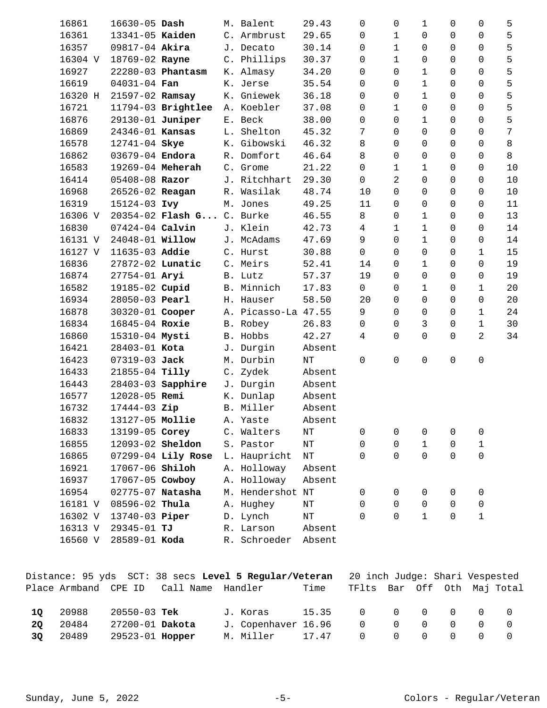| 16861   | $16630 - 05$ Dash      |                      | M. Balent           | 29.43     | 0              | 0            | 1              | 0 | 0            | 5  |
|---------|------------------------|----------------------|---------------------|-----------|----------------|--------------|----------------|---|--------------|----|
| 16361   | 13341-05 Kaiden        |                      | C. Armbrust         | 29.65     | 0              | 1            | 0              | 0 | 0            | 5  |
| 16357   | 09817-04 Akira         |                      | J. Decato           | 30.14     | 0              | $\mathbf 1$  | 0              | 0 | 0            | 5  |
| 16304 V | 18769-02 Rayne         |                      | C. Phillips         | 30.37     | 0              | 1            | 0              | 0 | 0            | 5  |
| 16927   |                        | 22280-03 Phantasm    | K. Almasy           | 34.20     | 0              | 0            | 1              | 0 | 0            | 5  |
| 16619   | 04031-04 Fan           |                      | K. Jerse            | 35.54     | 0              | $\Omega$     | 1              | 0 | 0            | 5  |
| 16320 H | 21597-02 Ramsay        |                      | K. Gniewek          | 36.18     | 0              | 0            | $1\,$          | 0 | 0            | 5  |
| 16721   |                        | 11794-03 Brightlee   | A. Koebler          | 37.08     | $\mathbf 0$    | $\mathbf{1}$ | $\mathbf 0$    | 0 | 0            | 5  |
| 16876   | 29130-01 Juniper       |                      | E. Beck             | 38.00     | $\mathbf 0$    | $\Omega$     | $\mathbf 1$    | 0 | 0            | 5  |
| 16869   | 24346-01 Kansas        |                      | L. Shelton          | 45.32     | 7              | $\Omega$     | $\mathbf 0$    | 0 | 0            | 7  |
| 16578   | 12741-04 Skye          |                      | K. Gibowski         | 46.32     | 8              | $\mathbf 0$  | $\mathbf 0$    | 0 | 0            | 8  |
| 16862   | 03679-04 Endora        |                      | R. Domfort          | 46.64     | 8              | $\mathbf 0$  | 0              | 0 | 0            | 8  |
| 16583   | 19269-04 Meherah       |                      | C. Grome            | 21.22     | $\mathsf{O}$   | 1            | 1              | 0 | 0            | 10 |
| 16414   | 05408-08 Razor         |                      | J. Ritchhart        | 29.30     | $\mathsf{O}$   | 2            | $\mathbf 0$    | 0 | 0            | 10 |
| 16968   | 26526-02 Reagan        |                      | R. Wasilak          | 48.74     | 10             | 0            | $\mathbf 0$    | 0 | 0            | 10 |
| 16319   | 15124-03 Ivy           |                      | M. Jones            | 49.25     | 11             | $\mathbf 0$  | $\mathbf 0$    | 0 | 0            | 11 |
| 16306 V |                        | $20354 - 02$ Flash G | C. Burke            | 46.55     | 8              | $\Omega$     | 1              | 0 | 0            | 13 |
| 16830   | $07424 - 04$ Calvin    |                      | J. Klein            | 42.73     | 4              | 1            | 1              | 0 | 0            | 14 |
| 16131 V | 24048-01 <b>Willow</b> |                      | J. McAdams          | 47.69     | 9              | $\Omega$     | $1\,$          | 0 | 0            | 14 |
| 16127 V | 11635-03 Addie         |                      | C. Hurst            | 30.88     | $\overline{0}$ | $\mathbf 0$  | $\overline{0}$ | 0 | $\mathbf{1}$ | 15 |
| 16836   | 27872-02 Lunatic       |                      | C. Meirs            | 52.41     | 14             | $\Omega$     | 1              | 0 | 0            | 19 |
| 16874   | 27754-01 Aryi          |                      | B. Lutz             | 57.37     | 19             | $\Omega$     | 0              | 0 | 0            | 19 |
| 16582   | 19185-02 Cupid         |                      | B. Minnich          | 17.83     | $\mathbf 0$    | $\Omega$     | $1\,$          | 0 | 1            | 20 |
| 16934   | 28050-03 Pearl         |                      | H. Hauser           | 58.50     | 20             | $\mathbf 0$  | $\mathbf 0$    | 0 | 0            | 20 |
| 16878   | 30320-01 Cooper        |                      | A. Picasso-La 47.55 |           | 9              | $\Omega$     | $\mathbf 0$    | 0 | 1            | 24 |
| 16834   | 16845-04 Roxie         |                      | B. Robey            | 26.83     | $\mathbf 0$    | 0            | 3              | 0 | 1            | 30 |
| 16860   | 15310-04 Mysti         |                      | B. Hobbs            | 42.27     | 4              | $\Omega$     | $\mathbf 0$    | 0 | 2            | 34 |
| 16421   | 28403-01 Kota          |                      | J. Durgin           | Absent    |                |              |                |   |              |    |
| 16423   | 07319-03 Jack          |                      | M. Durbin           | $\rm{NT}$ | 0              | $\mathbf 0$  | 0              | 0 | 0            |    |
| 16433   | 21855-04 Tilly         |                      | C. Zydek            | Absent    |                |              |                |   |              |    |
| 16443   |                        | 28403-03 Sapphire    | J. Durgin           | Absent    |                |              |                |   |              |    |
| 16577   | 12028-05 Remi          |                      | K. Dunlap           | Absent    |                |              |                |   |              |    |
| 16732   | 17444-03 Zip           |                      | B. Miller           | Absent    |                |              |                |   |              |    |
| 16832   | 13127-05 Mollie        |                      | A. Yaste            | Absent    |                |              |                |   |              |    |
| 16833   | 13199-05 Corey         |                      | C. Walters          | $\rm{NT}$ | 0              | 0            | 0              | 0 | 0            |    |
| 16855   | 12093-02 Sheldon       |                      | S. Pastor           | $\rm{NT}$ | 0              | $\mathbf 0$  | $1\,$          | 0 | $1\,$        |    |
| 16865   |                        | 07299-04 Lily Rose   | L. Haupricht        | $\rm{NT}$ | $\Omega$       | $\Omega$     | $\mathbf 0$    | 0 | 0            |    |
| 16921   | 17067-06 Shiloh        |                      | A. Holloway         | Absent    |                |              |                |   |              |    |
| 16937   | 17067-05 Cowboy        |                      | A. Holloway         | Absent    |                |              |                |   |              |    |
| 16954   | 02775-07 Natasha       |                      | M. Hendershot NT    |           | 0              | 0            | 0              | 0 | 0            |    |
| 16181 V | 08596-02 Thula         |                      | A. Hughey           | $\rm{NT}$ | 0              | 0            | 0              | 0 | 0            |    |
| 16302 V | 13740-03 Piper         |                      | D. Lynch            | $\rm{NT}$ | $\Omega$       | $\Omega$     | 1              | 0 | 1            |    |
| 16313 V | 29345-01 TJ            |                      | R. Larson           | Absent    |                |              |                |   |              |    |
| 16560 V | 28589-01 Koda          |                      | R. Schroeder        | Absent    |                |              |                |   |              |    |
|         |                        |                      |                     |           |                |              |                |   |              |    |

|          | Place Armband CPE ID |                                    | Distance: 95 yds SCT: 38 secs Level 5 Regular/Veteran<br>Call Name Handler | Time | 20 inch Judge: Shari Vespested<br>TFlts Bar Off Oth Maj Total |  |  |     |
|----------|----------------------|------------------------------------|----------------------------------------------------------------------------|------|---------------------------------------------------------------|--|--|-----|
| 10       | 20988                | 20550-03 Tek                       | J. Koras 15.35 0 0 0 0 0 0                                                 |      |                                                               |  |  |     |
| 20<br>30 | 20484<br>20489       | 27200-01 Dakota<br>29523-01 Hopper | J. Copenhaver 16.96<br>M. Miller 17.47 0 0 0 0 0                           |      | $\begin{matrix} 0 & 0 & 0 & 0 & 0 \end{matrix}$               |  |  | - 0 |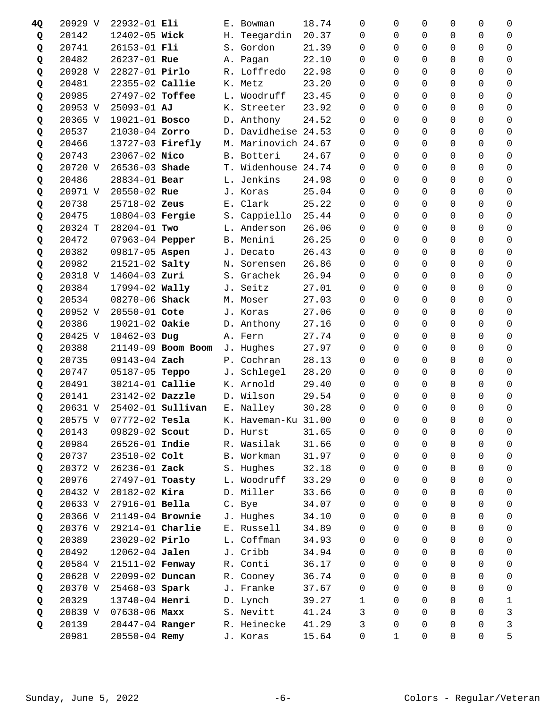| 4Q | 20929 V | 22932-01 Eli           |                          |            | E. Bowman           | 18.74 | 0            | 0              | $\Omega$       | $\Omega$       | 0              | 0            |
|----|---------|------------------------|--------------------------|------------|---------------------|-------|--------------|----------------|----------------|----------------|----------------|--------------|
| Q  | 20142   | 12402-05 Wick          |                          | H.         | Teegardin           | 20.37 | $\Omega$     | 0              | $\Omega$       | 0              | $\Omega$       | 0            |
| Q  | 20741   | 26153-01 Fli           |                          |            | S. Gordon           | 21.39 | $\Omega$     | 0              | $\Omega$       | $\Omega$       | $\Omega$       | $\Omega$     |
| Q  | 20482   | 26237-01 Rue           |                          |            | A. Pagan            | 22.10 | $\Omega$     | $\Omega$       | $\Omega$       | 0              | $\Omega$       | 0            |
| Q  | 20928 V | 22827-01 Pirlo         |                          |            | R. Loffredo         | 22.98 | 0            | 0              | $\Omega$       | $\Omega$       | $\Omega$       | $\mathbf 0$  |
| Q  | 20481   | 22355-02 Callie        |                          |            | K. Metz             | 23.20 | $\Omega$     | 0              | $\Omega$       | $\Omega$       | $\Omega$       | 0            |
| Q  | 20985   | 27497-02 Toffee        |                          | L.         | Woodruff            | 23.45 | $\Omega$     | 0              | $\Omega$       | 0              | 0              | 0            |
| Q  | 20953 V | $25093 - 01$ AJ        |                          |            | K. Streeter         | 23.92 | $\Omega$     | $\Omega$       | $\Omega$       | $\Omega$       | $\Omega$       | 0            |
| Q  | 20365 V | 19021-01 Bosco         |                          |            | D. Anthony          | 24.52 | $\Omega$     | 0              | $\Omega$       | $\Omega$       | $\Omega$       | $\mathbf 0$  |
| Q  | 20537   | 21030-04 Zorro         |                          |            | D. Davidheise 24.53 |       | $\Omega$     | $\Omega$       | $\Omega$       | $\Omega$       | $\Omega$       | 0            |
| Q  | 20466   | 13727-03 Firefly       |                          |            | M. Marinovich 24.67 |       | $\Omega$     | 0              | $\Omega$       | 0              | 0              | $\mathbf 0$  |
| Q  | 20743   | 23067-02 Nico          |                          |            | B. Botteri          | 24.67 | $\Omega$     | $\Omega$       | $\Omega$       | $\Omega$       | $\Omega$       | 0            |
| Q  | 20720 V | 26536-03 Shade         |                          |            | T. Widenhouse 24.74 |       | 0            | 0              | $\mathbf 0$    | 0              | $\overline{0}$ | 0            |
| Q  | 20486   | 28834-01 Bear          |                          | L.         | Jenkins             | 24.98 | $\Omega$     | 0              | $\Omega$       | 0              | $\Omega$       | 0            |
| Q  | 20971 V | 20550-02 Rue           |                          |            | J. Koras            | 25.04 | $\Omega$     | 0              | $\Omega$       | 0              | 0              | 0            |
| Q  | 20738   | 25718-02 Zeus          |                          |            | E. Clark            | 25.22 | $\Omega$     | $\Omega$       | $\Omega$       | 0              | 0              | 0            |
| Q  | 20475   | 10804-03 Fergie        |                          |            | S. Cappiello        | 25.44 | 0            | 0              | $\mathbf 0$    | 0              | $\Omega$       | 0            |
| Q  | 20324 T | 28204-01 Two           |                          |            | L. Anderson         | 26.06 | $\Omega$     | 0              | $\Omega$       | 0              | $\Omega$       | 0            |
| Q  | 20472   | 07963-04 Pepper        |                          |            | B. Menini           | 26.25 | $\Omega$     | $\Omega$       | $\Omega$       | $\Omega$       | $\Omega$       | $\Omega$     |
| Q  | 20382   | 09817-05 Aspen         |                          |            | J. Decato           | 26.43 | $\Omega$     | $\Omega$       | $\Omega$       | $\Omega$       | $\Omega$       | $\Omega$     |
| Q  | 20982   | 21521-02 Salty         |                          |            | N. Sorensen         | 26.86 | 0            | 0              | 0              | $\Omega$       | $\Omega$       | 0            |
| Q  | 20318 V | $14604 - 03$ Zuri      |                          |            | S. Grachek          | 26.94 | $\Omega$     | 0              | 0              | $\Omega$       | $\Omega$       | 0            |
| Q  | 20384   | 17994-02 Wally         |                          |            | J. Seitz            | 27.01 | $\Omega$     | $\Omega$       | $\Omega$       | 0              | 0              | $\Omega$     |
| Q  | 20534   | 08270-06 Shack         |                          | М.         | Moser               | 27.03 | $\Omega$     | $\Omega$       | $\Omega$       | $\Omega$       | $\Omega$       | $\Omega$     |
| Q  | 20952 V | 20550-01 Cote          |                          |            | J. Koras            | 27.06 | 0            | $\Omega$       | $\mathbf 0$    | $\Omega$       | $\Omega$       | 0            |
| Q  | 20386   | 19021-02 Oakie         |                          |            | D. Anthony          | 27.16 | $\Omega$     | 0              | $\Omega$       | $\Omega$       | $\Omega$       | $\mathbf 0$  |
| Q  | 20425 V | 10462-03 Dug           |                          |            | A. Fern             | 27.74 | $\Omega$     | 0              | $\Omega$       | $\Omega$       | $\Omega$       | $\Omega$     |
| Q  | 20388   |                        | 21149-09 Boom Boom       |            | J. Hughes           | 27.97 | $\Omega$     | 0              | $\Omega$       | $\Omega$       | $\Omega$       | $\Omega$     |
| Q  | 20735   | 09143-04 Zach          |                          |            | P. Cochran          | 28.13 | 0            | 0              | $\Omega$       | 0              | $\Omega$       | 0            |
| Q  | 20747   | 05187-05 Teppo         |                          |            | J. Schlegel         | 28.20 | 0            | 0              | $\Omega$       | $\Omega$       | $\Omega$       | $\mathbf 0$  |
| Q  | 20491   | 30214-01 Callie        |                          |            | K. Arnold           | 29.40 | $\Omega$     | 0              | $\Omega$       | 0              | $\Omega$       | 0            |
| Q  | 20141   | 23142-02 Dazzle        |                          |            | D. Wilson           | 29.54 | $\Omega$     | 0              | $\Omega$       | 0              | 0              | $\mathbf 0$  |
| Q  | 20631 V |                        | 25402-01 <b>Sullivan</b> |            | E. Nalley           | 30.28 | $\Omega$     | 0              | $\Omega$       | $\Omega$       | $\Omega$       | 0            |
| Q  |         | 20575 V 07772-02 Tesla |                          |            | K. Haveman-Ku 31.00 |       | $\mathsf{O}$ | $\overline{0}$ | $\overline{0}$ | $\overline{0}$ | $\mathsf{O}$   | $\mathsf{O}$ |
| Q  | 20143   | 09829-02 Scout         |                          | D.         | Hurst               | 31.65 | 0            | 0              | 0              | 0              | 0              | 0            |
| Q  | 20984   | 26526-01 Indie         |                          | R.         | Wasilak             | 31.66 | 0            | 0              | $\Omega$       | 0              | 0              | $\mathbf 0$  |
| Q  | 20737   | 23510-02 Colt          |                          | <b>B</b> . | Workman             | 31.97 | 0            | $\Omega$       | $\Omega$       | 0              | 0              | 0            |
| Q  | 20372 V | 26236-01 Zack          |                          |            | S. Hughes           | 32.18 | 0            | 0              | 0              | 0              | 0              | 0            |
| Q  | 20976   | 27497-01 Toasty        |                          |            | L. Woodruff         | 33.29 | $\Omega$     | 0              | 0              | 0              | 0              | 0            |
| Q  | 20432 V | 20182-02 Kira          |                          |            | D. Miller           | 33.66 | $\Omega$     | 0              | $\Omega$       | 0              | 0              | 0            |
| Q  | 20633 V | 27916-01 Bella         |                          |            | C. Bye              | 34.07 | $\Omega$     | 0              | $\Omega$       | 0              | 0              | 0            |
| Q  | 20366 V | 21149-04 Brownie       |                          |            | J. Hughes           | 34.10 | 0            | 0              | $\mathbf 0$    | 0              | 0              | 0            |
| Q  | 20376 V | 29214-01 Charlie       |                          |            | E. Russell          | 34.89 | 0            | 0              | 0              | 0              | 0              | 0            |
| Q  | 20389   | 23029-02 Pirlo         |                          | L.         | Coffman             | 34.93 | $\Omega$     | 0              | $\Omega$       | 0              | 0              | 0            |
| Q  | 20492   | 12062-04 Jalen         |                          |            | J. Cribb            | 34.94 | $\Omega$     | 0              | $\Omega$       | $\Omega$       | 0              | 0            |
| Q  | 20584 V | 21511-02 Fenway        |                          |            | R. Conti            | 36.17 | $\Omega$     | 0              | $\mathbf 0$    | 0              | $\Omega$       | 0            |
| Q  | 20628 V | 22099-02 Duncan        |                          |            | R. Cooney           | 36.74 | $\Omega$     | 0              | 0              | 0              | 0              | 0            |
| Q  | 20370 V | 25468-03 Spark         |                          |            | J. Franke           | 37.67 | $\Omega$     | $\Omega$       | $\Omega$       | $\Omega$       | 0              | 0            |
| Q  | 20329   | 13740-04 Henri         |                          |            | D. Lynch            | 39.27 | 1            | 0              | $\Omega$       | $\Omega$       | 0              | 1            |
| Q  | 20839 V | $07638 - 06$ Maxx      |                          |            | S. Nevitt           | 41.24 | 3            | 0              | $\Omega$       | 0              | $\Omega$       | $\mathsf{3}$ |
| Q  | 20139   | 20447-04 Ranger        |                          |            | R. Heinecke         | 41.29 | 3            | 0              | 0              | 0              | 0              | 3            |
|    | 20981   | 20550-04 Remy          |                          |            | J. Koras            | 15.64 | 0            | $\mathbf 1$    | 0              | 0              | $\Omega$       | 5            |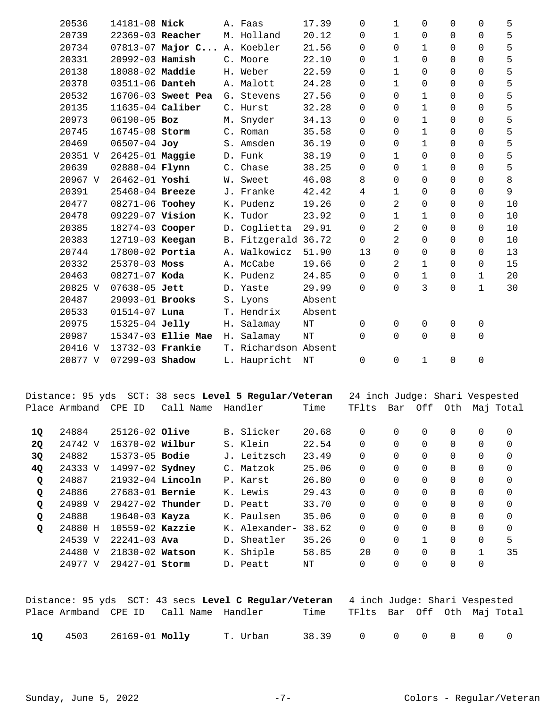| 20536   | 14181-08 Nick      |                      |    | A. Faas              | 17.39     | 0                   | $\mathbf{1}$        | $\Omega$       | 0                   | $\Omega$    | 5              |
|---------|--------------------|----------------------|----|----------------------|-----------|---------------------|---------------------|----------------|---------------------|-------------|----------------|
| 20739   | 22369-03 Reacher   |                      |    | M. Holland           | 20.12     | 0                   | $\mathbf{1}$        | 0              | 0                   | $\Omega$    | 5              |
| 20734   |                    | $07813 - 07$ Major C |    | A. Koebler           | 21.56     | 0                   | $\Omega$            | 1              | 0                   | $\Omega$    | 5              |
| 20331   | 20992-03 Hamish    |                      |    | C. Moore             | 22.10     | 0                   | $\mathbf{1}$        | 0              | 0                   | 0           | 5              |
| 20138   | 18088-02 Maddie    |                      |    | H. Weber             | 22.59     | 0                   | $\mathbf{1}$        | $\mathbf 0$    | 0                   | 0           | 5              |
| 20378   | 03511-06 Danteh    |                      |    | A. Malott            | 24.28     | $\mathsf{O}$        | $\mathbf{1}$        | $\mathbf 0$    | 0                   | 0           | 5              |
| 20532   |                    | 16706-03 Sweet Pea   |    | G. Stevens           | 27.56     | 0                   | $\Omega$            | $\mathbf{1}$   | 0                   | 0           | 5              |
| 20135   | $11635-04$ Caliber |                      |    | C. Hurst             | 32.28     | 0                   | $\Omega$            | $\mathbf 1$    | 0                   | 0           | 5              |
| 20973   | 06190-05 Boz       |                      |    | M. Snyder            | 34.13     | 0                   | 0                   | $\mathbf 1$    | 0                   | $\Omega$    | 5              |
| 20745   | 16745-08 Storm     |                      |    | C. Roman             | 35.58     | $\Omega$            | 0                   | $\mathbf 1$    | 0                   | $\Omega$    | 5              |
| 20469   | 06507-04 Joy       |                      |    | S. Amsden            | 36.19     | $\Omega$            | $\Omega$            | $\mathbf 1$    | 0                   | $\Omega$    | 5              |
| 20351 V | 26425-01 Maggie    |                      |    | D. Funk              | 38.19     | 0                   | $\mathbf 1$         | $\overline{0}$ | 0                   | 0           | 5              |
| 20639   | 02888-04 Flynn     |                      |    | C. Chase             | 38.25     | 0                   | $\Omega$            | $\mathbf 1$    | 0                   | 0           | 5              |
| 20967 V | 26462-01 Yoshi     |                      |    | W. Sweet             | 46.08     | 8                   | $\Omega$            | $\mathbf 0$    | 0                   | 0           | 8              |
| 20391   | 25468-04 Breeze    |                      |    | J. Franke            | 42.42     | $\overline{4}$      | $\mathbf{1}$        | $\mathbf 0$    | 0                   | $\Omega$    | $\overline{9}$ |
| 20477   | 08271-06 Toohey    |                      |    | K. Pudenz            | 19.26     | $\Omega$            | 2                   | $\mathbf 0$    | 0                   | 0           | 10             |
| 20478   | 09229-07 Vision    |                      |    | K. Tudor             | 23.92     | $\mathsf{O}$        | $\mathbf{1}$        | $\mathbf{1}$   | 0                   | 0           | 10             |
| 20385   | 18274-03 Cooper    |                      | D. | Coglietta            | 29.91     | $\Omega$            | 2                   | $\overline{0}$ | 0                   | $\Omega$    | 10             |
| 20383   | 12719-03 Keegan    |                      |    | B. Fitzgerald 36.72  |           | $\mathsf{O}$        | 2                   | 0              | 0                   | 0           | 10             |
| 20744   | 17800-02 Portia    |                      |    | A. Walkowicz         | 51.90     | 13                  | $\Omega$            | $\mathbf 0$    | 0                   | 0           | 13             |
| 20332   | 25370-03 Moss      |                      |    | A. McCabe            | 19.66     | 0                   | 2                   | 1              | 0                   | 0           | 15             |
| 20463   | 08271-07 Koda      |                      |    | K. Pudenz            | 24.85     | $\mathsf{O}$        | 0                   | $\mathbf 1$    | 0                   | $\mathbf 1$ | 20             |
| 20825 V | 07638-05 Jett      |                      |    | D. Yaste             | 29.99     | $\Omega$            | $\Omega$            | 3              | 0                   | $\mathbf 1$ | 30             |
| 20487   | 29093-01 Brooks    |                      |    | S. Lyons             | Absent    |                     |                     |                |                     |             |                |
| 20533   | $01514 - 07$ Luna  |                      |    | T. Hendrix           | Absent    |                     |                     |                |                     |             |                |
| 20975   | 15325-04 Jelly     |                      |    | H. Salamay           | $\rm{NT}$ | $\mathbf 0$         | $\Omega$            | 0              | 0                   | 0           |                |
| 20987   |                    | 15347-03 Ellie Mae   |    | H. Salamay           | $\rm{NT}$ | 0                   | $\Omega$            | $\mathbf 0$    | 0                   | 0           |                |
| 20416 V | 13732-03 Frankie   |                      |    | T. Richardson Absent |           |                     |                     |                |                     |             |                |
| 20877 V | 07299-03 Shadow    |                      |    | L. Haupricht         | NΤ        | $\mathsf{O}\xspace$ | $\mathsf{O}\xspace$ | $\mathbf{1}$   | $\mathsf{O}\xspace$ | $\mathsf 0$ |                |

|    |               |                        | Distance: 95 yds SCT: 38 secs Level 5 Regular/Veteran | 24 inch Judge: Shari Vespested |       |          |          |              |          |          |           |
|----|---------------|------------------------|-------------------------------------------------------|--------------------------------|-------|----------|----------|--------------|----------|----------|-----------|
|    | Place Armband | CPE<br>ID              | Call Name                                             | Handler                        | Time  | TFlts    | Bar      | Off          | Oth      |          | Maj Total |
|    |               |                        |                                                       |                                |       |          |          |              |          |          |           |
| 1Q | 24884         | $25126 - 02$ Olive     |                                                       | B. Slicker                     | 20.68 | 0        | $\Omega$ | $\Omega$     | $\Omega$ | $\Omega$ | $\Omega$  |
| 2Q | 24742 V       | 16370-02 Wilbur        |                                                       | S. Klein                       | 22.54 | 0        | 0        | $\Omega$     | $\Omega$ | $\Omega$ | $\Omega$  |
| 3Q | 24882         | $15373 - 05$ Bodie     |                                                       | J. Leitzsch                    | 23.49 | 0        | $\Omega$ | $\Omega$     | $\Omega$ | $\Omega$ | $\Omega$  |
| 4Q | 24333 V       | 14997-02 <b>Sydney</b> |                                                       | C. Matzok                      | 25.06 | 0        | 0        | 0            | 0        | $\Omega$ | 0         |
| Q  | 24887         | $21932-04$ Lincoln     |                                                       | P. Karst                       | 26.80 | 0        | 0        | $\Omega$     | $\Omega$ | $\Omega$ | $\Omega$  |
| Q  | 24886         | $27683 - 01$ Bernie    |                                                       | K. Lewis                       | 29.43 | 0        | $\Omega$ | $\Omega$     | $\Omega$ | $\Omega$ | $\Omega$  |
| Q  | 24989 V       | $29427-02$ Thunder     |                                                       | D. Peatt                       | 33.70 | $\Omega$ | $\Omega$ | $\Omega$     | $\Omega$ | $\Omega$ | $\Omega$  |
| Q  | 24888         | $19640 - 03$ Kayza     |                                                       | K. Paulsen                     | 35.06 | $\Omega$ | $\Omega$ | $\Omega$     | $\Omega$ | $\Omega$ | $\Omega$  |
| Q  | 24880 H       | $10559-02$ Kazzie      |                                                       | K. Alexander-                  | 38.62 | $\Omega$ | 0        | $\Omega$     | $\Omega$ | $\Omega$ | $\Omega$  |
|    | 24539 V       | $22241 - 03$ Ava       |                                                       | D. Sheatler                    | 35.26 | $\Omega$ | 0        | $\mathbf{1}$ | $\Omega$ | $\Omega$ | 5         |
|    | 24480 V       | $21830 - 02$ Watson    |                                                       | K. Shiple                      | 58.85 | 20       | 0        | $\Omega$     | $\Omega$ | 1        | 35        |
|    | 24977 V       | 29427-01 Storm         |                                                       | D. Peatt                       | ΝT    | $\Omega$ | 0        | 0            |          | $\Omega$ |           |

|    |                     | Distance: 95 yds  SCT: 43 secs <b>Level C Regular/Veteran</b> 4 inch Judqe: Shari Vespested |                                  |                 |  |  |        |
|----|---------------------|---------------------------------------------------------------------------------------------|----------------------------------|-----------------|--|--|--------|
|    |                     |                                                                                             | Time TFlts Bar Off Oth Maj-Total |                 |  |  |        |
| 10 | 4503 26169-01 Molly | T. Urban                                                                                    |                                  | 38.39 0 0 0 0 0 |  |  | $\cap$ |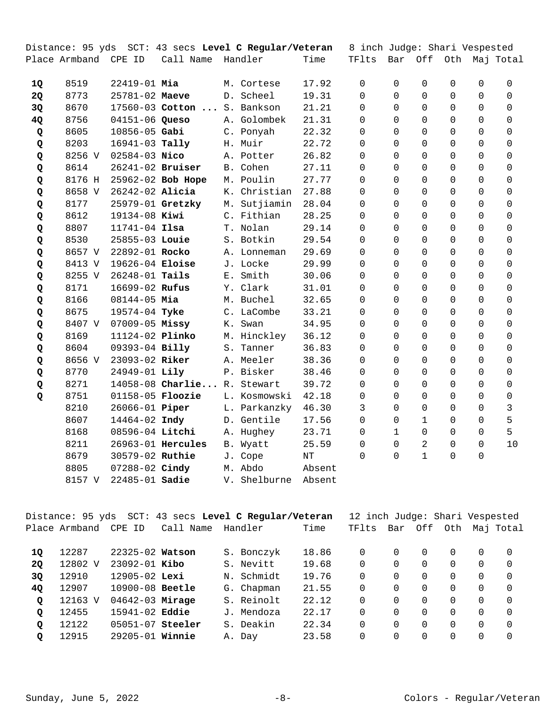|           |                      |                       | Distance: 95 yds SCT: 43 secs <b>Level C Regular/Veteran</b> |    |              |        | 8 inch Judge: Shari Vespested  |              |              |         |          |                       |
|-----------|----------------------|-----------------------|--------------------------------------------------------------|----|--------------|--------|--------------------------------|--------------|--------------|---------|----------|-----------------------|
|           | Place Armband CPE ID |                       | Call Name                                                    |    | Handler      | Time   | TFlts                          | Bar          |              | Off Oth |          | Maj Total             |
|           |                      |                       |                                                              |    |              |        |                                |              |              |         |          |                       |
| 1Q        | 8519                 | $22419 - 01$ Mia      |                                                              |    | M. Cortese   | 17.92  | 0                              | 0            | $\Omega$     | 0       | 0        | 0                     |
| <b>2Q</b> | 8773                 | 25781-02 Maeve        |                                                              |    | D. Scheel    | 19.31  | $\Omega$                       | $\Omega$     | 0            | 0       | 0        | $\Omega$              |
| 3Q        | 8670                 |                       | $17560 - 03$ Cotton                                          |    | S. Bankson   | 21.21  | 0                              | $\Omega$     | 0            | 0       | 0        | $\Omega$              |
| 4Q        | 8756                 | 04151-06 Queso        |                                                              |    | A. Golombek  | 21.31  | 0                              | $\Omega$     | $\mathbf 0$  | 0       | 0        | $\mathbf 0$           |
| Q         | 8605                 | $10856 - 05$ Gabi     |                                                              |    | C. Ponyah    | 22.32  | 0                              | 0            | $\Omega$     | 0       | 0        | 0                     |
| Q         | 8203                 | $16941 - 03$ Tally    |                                                              |    | H. Muir      | 22.72  | $\Omega$                       | $\Omega$     | $\Omega$     | 0       | 0        | 0                     |
| Q         | 8256 V               | $02584 - 03$ Nico     |                                                              |    | A. Potter    | 26.82  | 0                              | $\Omega$     | 0            | 0       | 0        | 0                     |
| Q         | 8614                 | 26241-02 Bruiser      |                                                              |    | B. Cohen     | 27.11  | 0                              | $\Omega$     | 0            | 0       | 0        | $\mathbf 0$           |
| Q         | 8176 H               |                       | 25962-02 Bob Hope                                            |    | M. Poulin    | 27.77  | 0                              | $\Omega$     | $\Omega$     | 0       | 0        | 0                     |
| Q         | 8658 V               | 26242-02 Alicia       |                                                              | К. | Christian    | 27.88  | $\Omega$                       | $\Omega$     | $\Omega$     | 0       | 0        | 0                     |
| Q         | 8177                 |                       | 25979-01 Gretzky                                             |    | M. Sutjiamin | 28.04  | $\Omega$                       | $\Omega$     | $\mathbf 0$  | 0       | $\Omega$ | 0                     |
| Q         | 8612                 | 19134-08 Kiwi         |                                                              |    | C. Fithian   | 28.25  | 0                              | $\Omega$     | $\mathbf 0$  | 0       | 0        | 0                     |
| Q         | 8807                 | $11741 - 04$ Ilsa     |                                                              |    | T. Nolan     | 29.14  | $\Omega$                       | $\Omega$     | $\Omega$     | 0       | 0        | 0                     |
| Q         | 8530                 | 25855-03 Louie        |                                                              |    | S. Botkin    | 29.54  | 0                              | $\Omega$     | $\Omega$     | 0       | $\Omega$ | 0                     |
| Q         | 8657 V               | 22892-01 Rocko        |                                                              |    | A. Lonneman  | 29.69  | $\Omega$                       | $\Omega$     | $\Omega$     | 0       | 0        | 0                     |
| Q         | 8413 V               | 19626-04 Eloise       |                                                              |    | J. Locke     | 29.99  | 0                              | $\Omega$     | $\Omega$     | 0       | 0        | 0                     |
| Q         | 8255 V               | 26248-01 Tails        |                                                              |    | E. Smith     | 30.06  | 0                              | $\Omega$     | $\Omega$     | 0       | 0        | 0                     |
| Q         | 8171                 | 16699-02 Rufus        |                                                              |    | Y. Clark     | 31.01  | $\Omega$                       | $\Omega$     | $\Omega$     | 0       | 0        | 0                     |
| Q         | 8166                 | $08144 - 05$ Mia      |                                                              |    | M. Buchel    | 32.65  | $\Omega$                       | $\Omega$     | $\Omega$     | 0       | 0        | 0                     |
| Q         | 8675                 | 19574-04 Tyke         |                                                              |    | C. LaCombe   | 33.21  | 0                              | $\Omega$     | $\Omega$     | 0       | 0        | 0                     |
| Q         | 8407 V               | $07009 - 05$ Missy    |                                                              |    | K. Swan      | 34.95  | $\mathbf 0$                    | $\Omega$     | $\mathbf 0$  | 0       | 0        | 0                     |
| Q         | 8169                 | 11124-02 Plinko       |                                                              |    | M. Hinckley  | 36.12  | 0                              | $\Omega$     | $\Omega$     | 0       | $\Omega$ | $\Omega$              |
| Q         | 8604                 | 09393-04 Billy        |                                                              |    | S. Tanner    | 36.83  | $\Omega$                       | $\Omega$     | $\Omega$     | 0       | 0        | 0                     |
| Q         | 8656 V               | 23093-02 Riker        |                                                              |    | A. Meeler    | 38.36  | $\Omega$                       | $\Omega$     | $\Omega$     | 0       | $\Omega$ | $\Omega$              |
| Q         | 8770                 | 24949-01 Lily         |                                                              |    | P. Bisker    | 38.46  | 0                              | $\Omega$     | $\mathbf 0$  | 0       | 0        | 0                     |
| Q         | 8271                 |                       | 14058-08 Charlie R. Stewart                                  |    |              | 39.72  | 0                              | $\Omega$     | $\Omega$     | 0       | 0        | 0                     |
| Q         | 8751                 | $01158-05$ Floozie    |                                                              |    | L. Kosmowski | 42.18  | 0                              | $\Omega$     | 0            | 0       | 0        | 0                     |
|           | 8210                 | 26066-01 Piper        |                                                              |    | L. Parkanzky | 46.30  | 3                              | $\Omega$     | $\mathbf 0$  | 0       | 0        | 3                     |
|           | 8607                 | 14464-02 Indy         |                                                              |    | D. Gentile   | 17.56  | 0                              | $\mathbf 0$  | $\mathbf{1}$ | 0       | 0        | 5                     |
|           | 8168                 | 08596-04 Litchi       |                                                              |    | A. Hughey    | 23.71  | 0                              | $\mathbf{1}$ | $\Omega$     | 0       | 0        | 5                     |
|           | 8211                 |                       | 26963-01 Hercules                                            |    | B. Wyatt     | 25.59  | 0                              | 0            | 2            | 0       | 0        | 10                    |
|           | 8679                 | 30579-02 Ruthie       |                                                              |    | J. Cope      | NT     | 0                              | 0            | $\mathbf 1$  | 0       | 0        |                       |
|           | 8805                 | 07288-02 Cindy        |                                                              |    | M. Abdo      | Absent |                                |              |              |         |          |                       |
|           |                      | 8157 V 22485-01 Sadie |                                                              |    | V. Shelburne | Absent |                                |              |              |         |          |                       |
|           |                      |                       |                                                              |    |              |        |                                |              |              |         |          |                       |
|           |                      |                       | Distance: 95 yds SCT: 43 secs Level C Regular/Veteran        |    |              |        | 12 inch Judge: Shari Vespested |              |              |         |          |                       |
|           |                      | Place Armband CPE ID  | Call Name                                                    |    | Handler      | Time   | TFlts                          |              |              |         |          | Bar Off Oth Maj Total |
| 1Q        | 12287                | 22325-02 Watson       |                                                              |    | S. Bonczyk   | 18.86  | 0                              | 0            | 0            | 0       | 0        | 0                     |
| 2Q        | 12802 V              | 23092-01 Kibo         |                                                              |    | S. Nevitt    | 19.68  | 0                              | 0            | $\mathbf 0$  | 0       | 0        | 0                     |
| 3Q        | 12910                | 12905-02 Lexi         |                                                              |    | N. Schmidt   | 19.76  | $\mathbf 0$                    | $\mathbf 0$  | $\mathbf 0$  | 0       | 0        | 0                     |
| 4Q        | 12907                | 10900-08 Beetle       |                                                              |    | G. Chapman   | 21.55  | $\mathbf 0$                    | $\Omega$     | $\Omega$     | 0       | 0        | 0                     |
| Q         | 12163 V              | 04642-03 Mirage       |                                                              |    | S. Reinolt   | 22.12  | 0                              | $\Omega$     | $\Omega$     | 0       | 0        | 0                     |
| Q         | 12455                | 15941-02 Eddie        |                                                              |    | J. Mendoza   | 22.17  | 0                              | $\Omega$     | $\Omega$     | 0       | 0        | 0                     |
| Q         | 12122                | 05051-07 Steeler      |                                                              |    | S. Deakin    | 22.34  | 0                              | 0            | $\mathbf 0$  | 0       | 0        | 0                     |
| Q         | 12915                | 29205-01 Winnie       |                                                              |    | A. Day       | 23.58  | 0                              | 0            | 0            | 0       | 0        | 0                     |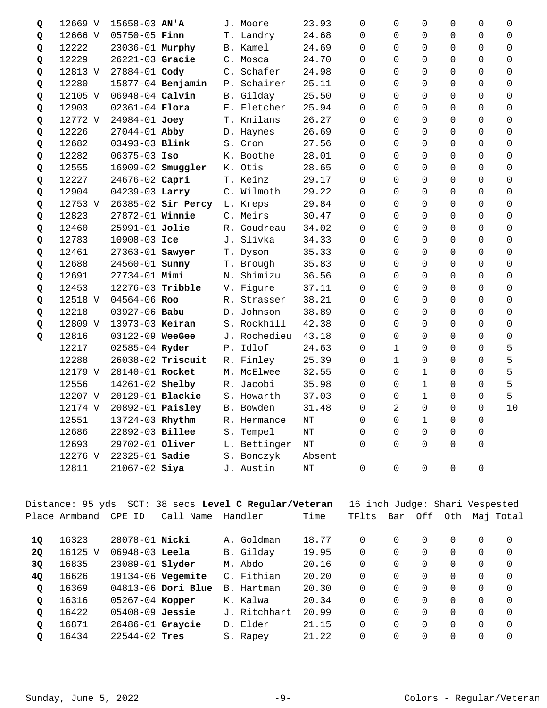| Q  | 12669 V              | $15658 - 03$ AN'A       |                                                       |           | J. Moore                       | 23.93     | 0                              | 0            | 0              | 0 | 0        | 0           |
|----|----------------------|-------------------------|-------------------------------------------------------|-----------|--------------------------------|-----------|--------------------------------|--------------|----------------|---|----------|-------------|
| Q  | 12666 V              | 05750-05 Finn           |                                                       |           | T. Landry                      | 24.68     | 0                              | 0            | 0              | 0 | 0        | 0           |
| Q  | 12222                | 23036-01 Murphy         |                                                       |           | B. Kamel                       | 24.69     | $\Omega$                       | $\Omega$     | 0              | 0 | 0        | $\Omega$    |
| Q  | 12229                | 26221-03 Gracie         |                                                       |           | C. Mosca                       | 24.70     | $\Omega$                       | $\Omega$     | $\Omega$       | 0 | $\Omega$ | $\Omega$    |
| Q  | 12813 V              | 27884-01 Cody           |                                                       |           | C. Schafer                     | 24.98     | $\Omega$                       | $\Omega$     | $\Omega$       | 0 | 0        | 0           |
| Q  | 12280                |                         | 15877-04 Benjamin                                     |           | P. Schairer                    | 25.11     | $\Omega$                       | $\Omega$     | $\Omega$       | 0 | 0        | 0           |
| Q  | 12105 V              | 06948-04 Calvin         |                                                       | <b>B.</b> | Gilday                         | 25.50     | $\Omega$                       | $\Omega$     | $\Omega$       | 0 | $\Omega$ | $\Omega$    |
| Q  | 12903                | 02361-04 Flora          |                                                       |           | E. Fletcher                    | 25.94     | $\Omega$                       | $\Omega$     | $\Omega$       | 0 | $\Omega$ | 0           |
| Q  | 12772 V              | 24984-01 Joey           |                                                       |           | T. Knilans                     | 26.27     | $\Omega$                       | $\Omega$     | $\Omega$       | 0 | 0        | 0           |
| Q  | 12226                | 27044-01 Abby           |                                                       |           | D. Haynes                      | 26.69     | 0                              | $\Omega$     | $\Omega$       | 0 | 0        | 0           |
| Q  | 12682                | 03493-03 Blink          |                                                       |           | S. Cron                        | 27.56     | $\Omega$                       | $\Omega$     | $\Omega$       | 0 | 0        | $\Omega$    |
| Q  | 12282                | $06375 - 03$ Iso        |                                                       |           | K. Boothe                      | 28.01     | $\Omega$                       | $\Omega$     | $\Omega$       | 0 | $\Omega$ | 0           |
| Q  | 12555                |                         | 16909-02 Smuggler                                     | К.        | Otis                           | 28.65     | $\Omega$                       | $\Omega$     | $\Omega$       | 0 | $\Omega$ | $\Omega$    |
| Q  | 12227                | 24676-02 Capri          |                                                       |           | T. Keinz                       | 29.17     | $\Omega$                       | $\Omega$     | $\Omega$       | 0 | 0        | $\mathbf 0$ |
| Q  | 12904                | 04239-03 Larry          |                                                       |           | C. Wilmoth                     | 29.22     | $\Omega$                       | $\Omega$     | $\Omega$       | 0 | $\Omega$ | $\Omega$    |
| Q  | 12753 V              |                         | 26385-02 Sir Percy                                    |           | L. Kreps                       | 29.84     | $\Omega$                       | $\Omega$     | $\Omega$       | 0 | $\Omega$ | 0           |
| Q  | 12823                | 27872-01 Winnie         |                                                       |           | C. Meirs                       | 30.47     | $\Omega$                       | $\Omega$     | $\Omega$       | 0 | $\Omega$ | $\Omega$    |
| Q  | 12460                | 25991-01 Jolie          |                                                       |           | R. Goudreau                    | 34.02     | 0                              | $\Omega$     | $\overline{0}$ | 0 | 0        | 0           |
| Q  | 12783                | 10908-03 Ice            |                                                       |           | J. Slivka                      | 34.33     | 0                              | $\Omega$     | 0              | 0 | 0        | 0           |
| Q  | 12461                | 27363-01 Sawyer         |                                                       | T.        | Dyson                          | 35.33     | 0                              | $\Omega$     | 0              | 0 | 0        | $\Omega$    |
| Q  | 12688                | 24560-01 <b>Sunny</b>   |                                                       |           | T. Brough                      | 35.83     | 0                              | $\Omega$     | 0              | 0 | 0        | $\Omega$    |
| Q  | 12691                | 27734-01 Mimi           |                                                       | Ν.        | Shimizu                        | 36.56     | 0                              | $\Omega$     | $\overline{0}$ | 0 | 0        | $\mathbf 0$ |
| Q  | 12453                | 12276-03 Tribble        |                                                       |           | V. Figure                      | 37.11     | 0                              | $\Omega$     | $\Omega$       | 0 | 0        | $\Omega$    |
| Q  | 12518 V              | 04564-06 Roo            |                                                       | R.        | Strasser                       | 38.21     | $\Omega$                       | $\Omega$     | $\Omega$       | 0 | $\Omega$ | $\Omega$    |
| Q  | 12218                | 03927-06 Babu           |                                                       | $D$ .     | Johnson                        | 38.89     | $\Omega$                       | $\Omega$     | $\Omega$       | 0 | $\Omega$ | $\Omega$    |
| Q  | 12809 V              | 13973-03 Keiran         |                                                       |           | S. Rockhill                    | 42.38     | $\Omega$                       | $\Omega$     | $\mathbf 0$    | 0 | 0        | $\mathbf 0$ |
| Q  | 12816                | 03122-09 WeeGee         |                                                       |           | J. Rochedieu                   | 43.18     | $\Omega$                       | $\Omega$     | 0              | 0 | 0        | 0           |
|    | 12217                | 02585-04 Ryder          |                                                       | Ρ.        | Idlof                          | 24.63     | $\Omega$                       | $\mathbf{1}$ | 0              | 0 | $\Omega$ | 5           |
|    | 12288                |                         | 26038-02 Triscuit                                     |           | R. Finley                      | 25.39     | $\Omega$                       | $\mathbf{1}$ | 0              | 0 | $\Omega$ | 5           |
|    | 12179 V              | 28140-01 Rocket         |                                                       |           | M. McElwee                     | 32.55     | $\Omega$                       | $\Omega$     | $\mathbf{1}$   | 0 | 0        | 5           |
|    | 12556                | 14261-02 Shelby         |                                                       | R.        | Jacobi                         | 35.98     | $\Omega$                       | $\Omega$     | $\mathbf 1$    | 0 | 0        | 5           |
|    | 12207 V              | 20129-01 Blackie        |                                                       |           | S. Howarth                     | 37.03     | $\Omega$                       | $\Omega$     | 1              | 0 | $\Omega$ | 5           |
|    | 12174 V              | 20892-01 <b>Paisley</b> |                                                       |           | B. Bowden                      | 31.48     | $\Omega$                       | 2            | $\Omega$       | 0 | 0        | 10          |
|    | 12551                | 13724-03 Rhythm         |                                                       |           | R. Hermance                    | NΤ        | 0                              | 0            | 1              | 0 | 0        |             |
|    | 12686                | 22892-03 Billee         |                                                       |           | S. Tempel                      | $\rm{NT}$ | 0                              | 0            | $\mathbf 0$    | 0 | 0        |             |
|    | 12693                | 29702-01 Oliver         |                                                       |           | L. Bettinger                   | $\rm{NT}$ | 0                              | $\Omega$     | $\Omega$       | 0 | 0        |             |
|    | 12276 V              | 22325-01 Sadie          |                                                       |           | S. Bonczyk                     | Absent    |                                |              |                |   |          |             |
|    | 12811                | $21067 - 02$ Siya       |                                                       |           | J. Austin                      | $\rm{NT}$ | 0                              | 0            | 0              | 0 | 0        |             |
|    |                      |                         |                                                       |           |                                |           |                                |              |                |   |          |             |
|    |                      |                         | Distance: 95 yds SCT: 38 secs Level C Regular/Veteran |           |                                |           | 16 inch Judge: Shari Vespested |              |                |   |          |             |
|    | Place Armband CPE ID |                         | Call Name Handler                                     |           |                                | Time      | TFlts Bar Off Oth Maj Total    |              |                |   |          |             |
| 1Q | 16323                | 28078-01 Nicki          |                                                       |           | A. Goldman                     | 18.77     | 0                              | 0            | 0              | 0 | 0        | 0           |
| 20 | $1612E$ $U$          | 0601002222              |                                                       |           | C <sub>1</sub> 1A <sub>2</sub> | 10 Q E    | $\cap$                         |              |                |   |          |             |

| 20      | 16125 V | $06948-03$ Leela       | B. Gilday    | 19.95 |          | 0 | $\Omega$ | $\Omega$ | $\Omega$ |
|---------|---------|------------------------|--------------|-------|----------|---|----------|----------|----------|
| 3Q      | 16835   | 23089-01 <b>Slyder</b> | M. Abdo      | 20.16 |          | 0 | 0        |          |          |
| 40      | 16626   | 19134-06 Vegemite      | C. Fithian   | 20.20 | 0        | 0 |          | 0        | $\left($ |
| $\circ$ | 16369   | 04813-06 Dori Blue     | B. Hartman   | 20.30 |          | 0 |          | 0        |          |
| O       | 16316   | 05267-04 Kopper        | K. Kalwa     | 20.34 | 0        | 0 |          | 0        | $\Omega$ |
| O       | 16422   | $05408 - 09$ Jessie    | J. Ritchhart | 20.99 | 0        | 0 | 0        | 0        | $\Omega$ |
| o       | 16871   | 26486-01 Graycie       | D. Elder     | 21.15 | 0        | 0 | $\Omega$ | 0        | $\Omega$ |
| O       | 16434   | $22544 - 02$ Tres      | S. Rapey     | 21.22 | $\Omega$ | 0 |          | 0        | $\Omega$ |
|         |         |                        |              |       |          |   |          |          |          |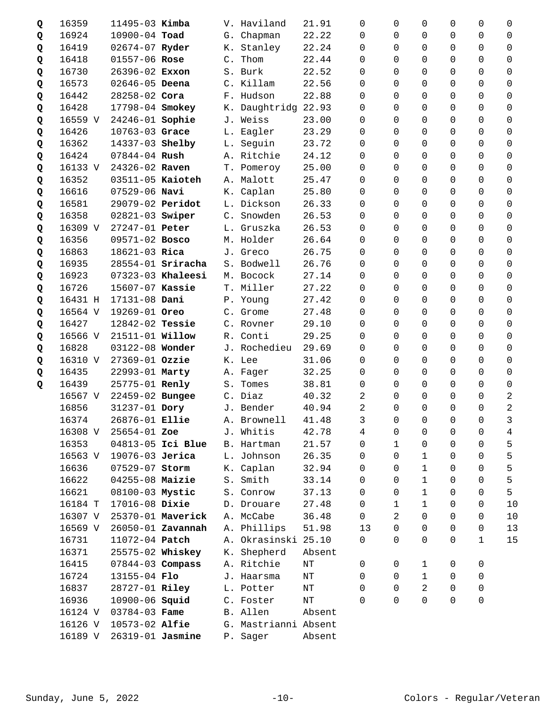| Q | 16359   | $11495 - 03$ Kimba     |                     |       | V. Haviland          | 21.91     | 0            | $\Omega$     | $\Omega$       | 0                   | 0              | 0              |
|---|---------|------------------------|---------------------|-------|----------------------|-----------|--------------|--------------|----------------|---------------------|----------------|----------------|
| Q | 16924   | 10900-04 Toad          |                     |       | G. Chapman           | 22.22     | 0            | $\Omega$     | 0              | 0                   | 0              | 0              |
| Q | 16419   | 02674-07 Ryder         |                     |       | K. Stanley           | 22.24     | $\Omega$     | $\Omega$     | $\Omega$       | 0                   | $\Omega$       | $\Omega$       |
| Q | 16418   | 01557-06 Rose          |                     | C.    | Thom                 | 22.44     | 0            | $\Omega$     | 0              | 0                   | 0              | 0              |
| Q | 16730   | 26396-02 Exxon         |                     |       | S. Burk              | 22.52     | 0            | $\Omega$     | $\Omega$       | 0                   | 0              | $\Omega$       |
| Q | 16573   | 02646-05 Deena         |                     |       | C. Killam            | 22.56     | $\Omega$     | $\Omega$     | 0              | 0                   | 0              | 0              |
| Q | 16442   | 28258-02 Cora          |                     |       | F. Hudson            | 22.88     | $\Omega$     | $\Omega$     | 0              | 0                   | 0              | $\Omega$       |
| Q | 16428   | 17798-04 Smokey        |                     |       | K. Daughtridg        | 22.93     | 0            | 0            | $\overline{0}$ | 0                   | 0              | 0              |
| Q | 16559 V | 24246-01 Sophie        |                     |       | J. Weiss             | 23.00     | $\Omega$     | $\Omega$     | 0              | 0                   | 0              | $\Omega$       |
| Q | 16426   | 10763-03 Grace         |                     |       | L. Eagler            | 23.29     | $\Omega$     | $\Omega$     | 0              | 0                   | 0              | 0              |
| Q | 16362   | 14337-03 Shelby        |                     |       | L. Seguin            | 23.72     | 0            | $\Omega$     | 0              | 0                   | 0              | $\Omega$       |
| Q | 16424   | $07844 - 04$ Rush      |                     |       | A. Ritchie           | 24.12     | 0            | 0            | 0              | 0                   | 0              | 0              |
| Q | 16133 V | 24326-02 Raven         |                     |       | T. Pomeroy           | 25.00     | 0            | $\Omega$     | 0              | 0                   | 0              | 0              |
| Q | 16352   | 03511-05 Kaioteh       |                     |       | A. Malott            | 25.47     | $\Omega$     | $\Omega$     | 0              | 0                   | 0              | 0              |
| Q | 16616   | $07529 - 06$ Navi      |                     | К.    | Caplan               | 25.80     | $\Omega$     | $\Omega$     | 0              | 0                   | $\Omega$       | $\Omega$       |
| Q | 16581   | 29079-02 Peridot       |                     |       | L. Dickson           | 26.33     | 0            | $\Omega$     | $\overline{0}$ | 0                   | 0              | 0              |
| Q | 16358   | 02821-03 Swiper        |                     |       | C. Snowden           | 26.53     | $\Omega$     | $\Omega$     | $\mathbf 0$    | 0                   | 0              | 0              |
| Q | 16309 V | 27247-01 Peter         |                     |       | L. Gruszka           | 26.53     | $\Omega$     | $\Omega$     | $\Omega$       | 0                   | 0              | 0              |
| Q | 16356   | 09571-02 Bosco         |                     |       | M. Holder            | 26.64     | $\Omega$     | $\Omega$     | $\Omega$       | 0                   | 0              | 0              |
| Q | 16863   | 18621-03 Rica          |                     |       | J. Greco             | 26.75     | 0            | $\Omega$     | 0              | 0                   | 0              | 0              |
| Q | 16935   |                        | $28554-01$ Sriracha |       | S. Bodwell           | 26.76     | 0            | 0            | 0              | 0                   | 0              | 0              |
| Q | 16923   |                        | 07323-03 Khaleesi   |       | M. Bocock            | 27.14     | $\Omega$     | $\Omega$     | $\Omega$       | 0                   | 0              | $\Omega$       |
| Q | 16726   | 15607-07 Kassie        |                     |       | T. Miller            | 27.22     | $\Omega$     | $\Omega$     | 0              | 0                   | 0              | 0              |
| Q | 16431 H | 17131-08 Dani          |                     |       | P. Young             | 27.42     | 0            | $\Omega$     | $\Omega$       | 0                   | 0              | 0              |
| Q | 16564 V | 19269-01 Oreo          |                     |       | C. Grome             | 27.48     | 0            | $\Omega$     | $\mathbf 0$    | 0                   | 0              | 0              |
| Q | 16427   | 12842-02 Tessie        |                     |       | C. Rovner            | 29.10     | 0            | $\Omega$     | $\Omega$       | 0                   | $\Omega$       | $\Omega$       |
| Q | 16566 V | 21511-01 <b>Willow</b> |                     |       | R. Conti             | 29.25     | $\Omega$     | $\Omega$     | $\Omega$       | 0                   | $\Omega$       | 0              |
| Q | 16828   | 03122-08 Wonder        |                     |       | J. Rochedieu         | 29.69     | $\Omega$     | $\Omega$     | $\Omega$       | 0                   | $\Omega$       | $\Omega$       |
| Q | 16310 V | 27369-01 Ozzie         |                     |       | K. Lee               | 31.06     | 0            | $\mathbf 0$  | 0              | 0                   | 0              | 0              |
| Q | 16435   | 22993-01 Marty         |                     |       | A. Fager             | 32.25     | 0            | $\Omega$     | 0              | 0                   | 0              | $\Omega$       |
| Q | 16439   | 25775-01 Renly         |                     | $S$ . | Tomes                | 38.81     | 0            | $\Omega$     | 0              | 0                   | 0              | 0              |
|   | 16567 V | 22459-02 Bungee        |                     |       | C. Diaz              | 40.32     | 2            | $\Omega$     | 0              | 0                   | 0              | 2              |
|   | 16856   | 31237-01 Dory          |                     |       | J. Bender            | 40.94     | 2            | $\mathbf 0$  | $\mathbf 0$    | 0                   | 0              | $\overline{2}$ |
|   | 16374   | 26876-01 Ellie         |                     |       | A. Brownell          | 41.48     | $\mathsf{3}$ | $\mathbf 0$  | $\mathsf{O}$   | $\mathsf{O}\xspace$ | $\overline{0}$ | 3              |
|   | 16308 V | 25654-01 Zoe           |                     | J.    | Whitis               | 42.78     | 4            | 0            | 0              | 0                   | 0              | 4              |
|   | 16353   |                        | 04813-05 Ici Blue   |       | B. Hartman           | 21.57     | 0            | $\mathbf 1$  | 0              | 0                   | 0              | 5              |
|   | 16563 V | 19076-03 Jerica        |                     |       | L. Johnson           | 26.35     | 0            | $\Omega$     | 1              | 0                   | 0              | 5              |
|   | 16636   | 07529-07 Storm         |                     |       | K. Caplan            | 32.94     | 0            | $\Omega$     | $\mathbf{1}$   | 0                   | 0              | 5              |
|   | 16622   | 04255-08 Maizie        |                     | $S$ . | Smith                | 33.14     | 0            | $\Omega$     | $\mathbf 1$    | 0                   | 0              | 5              |
|   | 16621   | 08100-03 Mystic        |                     |       | S. Conrow            | 37.13     | 0            | $\Omega$     | 1              | 0                   | 0              | 5              |
|   | 16184 T | 17016-08 Dixie         |                     |       | D. Drouare           | 27.48     | 0            | $\mathbf{1}$ | $\mathbf 1$    | 0                   | 0              | 10             |
|   | 16307 V |                        | 25370-01 Maverick   |       | A. McCabe            | 36.48     | $\mathbf 0$  | 2            | $\mathbf 0$    | 0                   | 0              | 10             |
|   | 16569 V |                        | 26050-01 Zavannah   |       | A. Phillips          | 51.98     | 13           | $\Omega$     | 0              | 0                   | 0              | 13             |
|   | 16731   | 11072-04 Patch         |                     | Α.    | Okrasinski           | 25.10     | $\mathbf 0$  | $\Omega$     | 0              | 0                   | 1              | 15             |
|   | 16371   | 25575-02 Whiskey       |                     |       | K. Shepherd          | Absent    |              |              |                |                     |                |                |
|   | 16415   | $07844 - 03$ Compass   |                     |       | A. Ritchie           | $\rm{NT}$ | 0            | 0            | 1              | 0                   | 0              |                |
|   | 16724   | 13155-04 Flo           |                     |       | J. Haarsma           | $\rm{NT}$ | $\Omega$     | $\Omega$     | $\mathbf 1$    | 0                   | 0              |                |
|   | 16837   | 28727-01 Riley         |                     |       | L. Potter            | $\rm{NT}$ | 0            | 0            | 2              | 0                   | 0              |                |
|   | 16936   | 10900-06 <b>Squid</b>  |                     |       | C. Foster            | $\rm{NT}$ | $\Omega$     | $\Omega$     | $\mathbf 0$    | 0                   | 0              |                |
|   | 16124 V | 03784-03 Fame          |                     |       | B. Allen             | Absent    |              |              |                |                     |                |                |
|   | 16126 V | 10573-02 Alfie         |                     |       | G. Mastrianni Absent |           |              |              |                |                     |                |                |
|   | 16189 V | 26319-01 Jasmine       |                     |       | P. Sager             | Absent    |              |              |                |                     |                |                |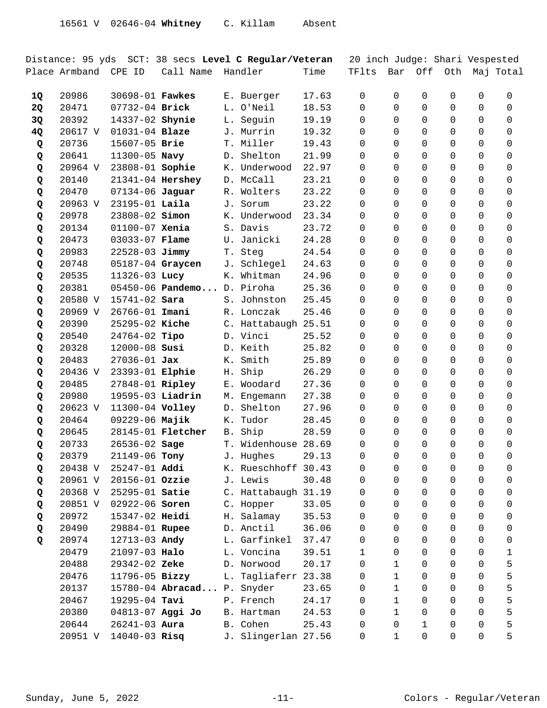|                 |                      |                                          |                            |           | Distance: 95 yds SCT: 38 secs Level C Regular/Veteran |                | 20 inch Judge: Shari Vespested |                      |                  |          |          |           |
|-----------------|----------------------|------------------------------------------|----------------------------|-----------|-------------------------------------------------------|----------------|--------------------------------|----------------------|------------------|----------|----------|-----------|
|                 | Place Armband CPE ID |                                          | Call Name                  |           | Handler                                               | Time           | TFlts                          | Bar                  | Off              | Oth      |          | Maj Total |
|                 |                      |                                          |                            |           |                                                       |                |                                |                      |                  |          |          |           |
| 1Q<br><b>2Q</b> | 20986<br>20471       | 30698-01 <b>Fawkes</b><br>07732-04 Brick |                            | L.        | E. Buerger<br>O'Neil                                  | 17.63<br>18.53 | 0<br>$\Omega$                  | $\Omega$<br>$\Omega$ | 0<br>0           | 0<br>0   | 0<br>0   | 0<br>0    |
|                 | 20392                | 14337-02 Shynie                          |                            |           |                                                       | 19.19          | $\Omega$                       | $\Omega$             | $\Omega$         | 0        | 0        | $\Omega$  |
| 3Q              | 20617 V              | 01031-04 Blaze                           |                            | L.        | Seguin<br>J. Murrin                                   | 19.32          | $\Omega$                       | $\Omega$             | $\Omega$         | 0        | 0        |           |
| 4Q              | 20736                |                                          |                            |           |                                                       |                |                                |                      |                  |          |          | 0         |
| Q               |                      | 15607-05 Brie                            |                            |           | T. Miller                                             | 19.43          | $\Omega$                       | $\Omega$             | $\Omega$         | 0        | 0        | 0         |
| Q               | 20641                | 11300-05 Navy                            |                            | D.        | Shelton                                               | 21.99          | $\Omega$                       | $\Omega$             | $\Omega$         | 0        | 0        | 0         |
| Q               | 20964 V              | 23808-01 Sophie                          |                            |           | K. Underwood<br>D. McCall                             | 22.97          | $\Omega$                       | $\Omega$<br>$\Omega$ | 0<br>$\mathbf 0$ | 0<br>0   | 0<br>0   | 0         |
| Q               | 20140                | 21341-04 Hershey                         |                            |           |                                                       | 23.21          | 0                              |                      |                  |          |          | 0         |
| Q               | 20470                | 07134-06 Jaguar                          |                            |           | R. Wolters                                            | 23.22          | 0                              | $\Omega$             | 0                | 0        | 0        | 0         |
| Q               | 20963 V              | 23195-01 Laila                           |                            | J.        | Sorum                                                 | 23.22          | 0                              | $\Omega$             | 0                | 0        | 0        | 0         |
| Q               | 20978<br>20134       | 23808-02 <b>Simon</b><br>01100-07 Xenia  |                            |           | K. Underwood<br>S. Davis                              | 23.34<br>23.72 | $\Omega$                       | $\Omega$<br>$\Omega$ | 0<br>$\mathbf 0$ | 0<br>0   | 0<br>0   | 0         |
| Q               | 20473                | 03033-07 Flame                           |                            |           | U. Janicki                                            | 24.28          | 0<br>$\Omega$                  | 0                    | $\Omega$         | 0        | 0        | 0<br>0    |
| Q               |                      | 22528-03 Jimmy                           |                            |           | Steg                                                  | 24.54          | $\Omega$                       | $\Omega$             | $\Omega$         | 0        | 0        | 0         |
| Q               | 20983<br>20748       |                                          |                            | T.        |                                                       | 24.63          |                                | $\Omega$             | $\Omega$         | 0        | $\Omega$ |           |
| Q               |                      | 05187-04 Graycen<br>11326-03 Lucy        |                            | J.        | Schlegel<br>K. Whitman                                | 24.96          | 0<br>$\Omega$                  | $\Omega$             |                  | 0        | 0        | 0         |
| Q               | 20535                |                                          | $05450 - 06$ Pandemo       |           | D. Piroha                                             | 25.36          |                                | $\Omega$             | 0<br>$\Omega$    |          |          | 0         |
| Q               | 20381<br>20580 V     | 15741-02 Sara                            |                            |           | Johnston                                              |                | 0<br>$\Omega$                  | $\Omega$             | $\Omega$         | 0        | 0        | 0         |
| Q               | 20969 V              | 26766-01 Imani                           |                            | S.        | R. Lonczak                                            | 25.45<br>25.46 | $\Omega$                       | $\Omega$             | $\Omega$         | 0<br>0   | 0<br>0   | 0<br>0    |
| Q               | 20390                | 25295-02 Kiche                           |                            |           | C. Hattabaugh 25.51                                   |                | $\Omega$                       | $\Omega$             | $\Omega$         | 0        | 0        | 0         |
| Q<br>Q          | 20540                | 24764-02 Tipo                            |                            |           | D. Vinci                                              | 25.52          | $\Omega$                       | $\Omega$             | $\Omega$         | 0        | 0        | 0         |
| Q               | 20328                | 12000-08 Susi                            |                            |           | D. Keith                                              | 25.82          | $\Omega$                       | $\Omega$             | $\Omega$         | 0        | 0        | 0         |
| Q               | 20483                | $27036 - 01$ Jax                         |                            | К.        | Smith                                                 | 25.89          | $\Omega$                       | $\Omega$             | $\Omega$         | 0        | $\Omega$ | 0         |
| Q               | 20436 V              | 23393-01 Elphie                          |                            | Η.        | Ship                                                  | 26.29          | $\Omega$                       | $\Omega$             | $\Omega$         | 0        | 0        | 0         |
| Q               | 20485                | 27848-01 Ripley                          |                            |           | E. Woodard                                            | 27.36          | 0                              | $\Omega$             | $\Omega$         | 0        | 0        | 0         |
| Q               | 20980                | 19595-03 Liadrin                         |                            | М.        | Engemann                                              | 27.38          | $\Omega$                       | 0                    | $\Omega$         | 0        | 0        | 0         |
| Q               | 20623 V              | 11300-04 Volley                          |                            | $D$ .     | Shelton                                               | 27.96          | 0                              | $\Omega$             | $\Omega$         | 0        | 0        | 0         |
| Q               | 20464                | 09229-06 Majik                           |                            | К.        | Tudor                                                 | 28.45          | $\Omega$                       | $\Omega$             | 0                | 0        | 0        | 0         |
| Q               | 20645                |                                          | 28145-01 <b>Fletcher</b>   | <b>B.</b> | Ship                                                  | 28.59          | 0                              | $\Omega$             | $\mathbf 0$      | 0        | 0        | 0         |
| Q               | 20733                | 26536-02 Sage                            |                            |           | T. Widenhouse 28.69                                   |                | $\Omega$                       | $\Omega$             | $\Omega$         | $\Omega$ | 0        | $\Omega$  |
| Q               | 20379                | 21149-06 Tony                            |                            |           | J. Hughes                                             | 29.13          | 0                              | 0                    | $\mathbf 0$      | 0        | 0        | 0         |
| Q               | 20438 V              | 25247-01 Addi                            |                            |           | K. Rueschhoff 30.43                                   |                | 0                              | 0                    | 0                | 0        | 0        | 0         |
| Q               | 20961 V              | 20156-01 Ozzie                           |                            |           | J. Lewis                                              | 30.48          | 0                              | $\Omega$             | $\mathbf 0$      | 0        | 0        | 0         |
| Q               | 20368 V              | 25295-01 Satie                           |                            |           | C. Hattabaugh 31.19                                   |                | 0                              | $\Omega$             | $\Omega$         | 0        | 0        | 0         |
| Q               | 20851 V              | 02922-06 Soren                           |                            |           | C. Hopper                                             | 33.05          | 0                              | $\Omega$             | 0                | 0        | 0        | 0         |
| Q               | 20972                | 15347-02 Heidi                           |                            |           | H. Salamay                                            | 35.53          | 0                              | $\Omega$             | 0                | 0        | 0        | 0         |
| Q               | 20490                | 29884-01 Rupee                           |                            |           | D. Anctil                                             | 36.06          | 0                              | 0                    | 0                | 0        | 0        | 0         |
| Q               | 20974                | 12713-03 Andy                            |                            |           | L. Garfinkel                                          | 37.47          | 0                              | 0                    | $\Omega$         | 0        | 0        | 0         |
|                 | 20479                | 21097-03 Halo                            |                            |           | L. Voncina                                            | 39.51          | 1                              | $\Omega$             | $\Omega$         | 0        | 0        | 1         |
|                 | 20488                | 29342-02 Zeke                            |                            |           | D. Norwood                                            | 20.17          | 0                              | $\mathbf{1}$         | 0                | 0        | 0        | 5         |
|                 | 20476                | 11796-05 Bizzy                           |                            |           | L. Tagliaferr                                         | 23.38          | 0                              | $\mathbf{1}$         | $\mathbf 0$      | 0        | 0        | 5         |
|                 | 20137                |                                          | 15780-04 Abracad P. Snyder |           |                                                       | 23.65          | 0                              | $\mathbf 1$          | $\Omega$         | 0        | 0        | 5         |
|                 | 20467                | 19295-04 Tavi                            |                            |           | P. French                                             | 24.17          | 0                              | $\mathbf{1}$         | $\Omega$         | 0        | 0        | 5         |
|                 | 20380                | 04813-07 Aggi Jo                         |                            |           | B. Hartman                                            | 24.53          | 0                              | $\mathbf{1}$         | 0                | 0        | 0        | 5         |
|                 | 20644                | $26241 - 03$ Aura                        |                            |           | B. Cohen                                              | 25.43          | 0                              | 0                    | 1                | 0        | 0        | 5         |
|                 | 20951 V              | 14040-03 Risq                            |                            |           | J. Slingerlan 27.56                                   |                | 0                              | 1                    | 0                | 0        | 0        | 5         |
|                 |                      |                                          |                            |           |                                                       |                |                                |                      |                  |          |          |           |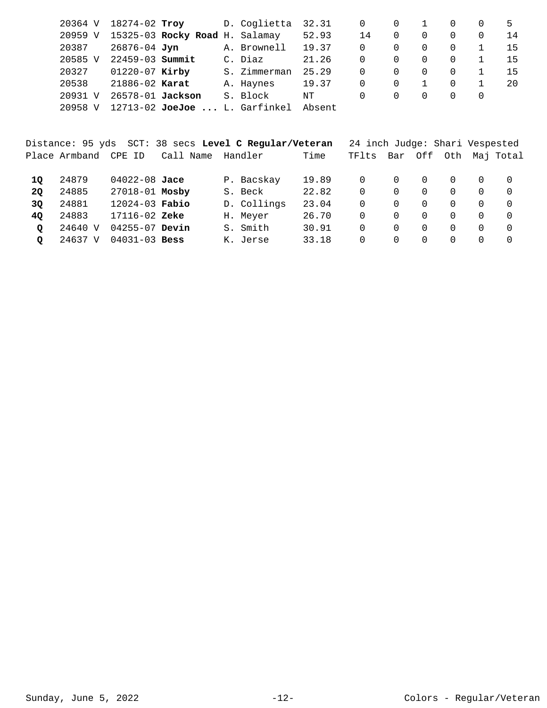| 20364 V           | 18274-02 Troy       |                                   | D. Coglietta | 32.31  | 0  |                  |   |          | 5   |
|-------------------|---------------------|-----------------------------------|--------------|--------|----|------------------|---|----------|-----|
| 20959 V           |                     | 15325-03 Rocky Road H. Salamay    |              | 52.93  | 14 | $\Omega$         |   | 0        | -14 |
| 20387             | 26876-04 Jyn        |                                   | A. Brownell  | 19.37  | 0  |                  | 0 | $\Omega$ | 15  |
| 20585 V           | $22459 - 03$ Summit |                                   | C. Diaz      | 21.26  | 0  | 0                |   | $\Omega$ | 15  |
| 20327             | $01220 - 07$ Kirby  |                                   | S. Zimmerman | 25.29  | 0  |                  |   | 0        | 15  |
| 20538             | 21886-02 Karat      |                                   | A. Haynes    | 19.37  | 0  |                  |   | 0        | 20  |
| 20931<br>$\nabla$ | 26578-01 Jackson    |                                   | S. Block     | NΤ     | 0  | $\left( \right)$ |   | $\Omega$ |     |
| 20958 V           |                     | $12713 - 02$ JoeJoe  L. Garfinkel |              | Absent |    |                  |   |          |     |

|           |               |                    | Distance: 95 yds SCT: 38 secs Level C Regular/Veteran |             |       | 24 inch Judge: Shari Vespested |          |          |          |          |           |
|-----------|---------------|--------------------|-------------------------------------------------------|-------------|-------|--------------------------------|----------|----------|----------|----------|-----------|
|           | Place Armband | CPE ID             | Call Name                                             | Handler     | Time  | TFlts                          | Bar      |          | Off Oth  |          | Mai Total |
| 10        | 24879         | $04022 - 08$ Jace  |                                                       | P. Bacskay  | 19.89 | $\Omega$                       | $\Omega$ | $\Omega$ | $\Omega$ | 0        | $\Omega$  |
| <b>20</b> | 24885         | 27018-01 Mosby     |                                                       | S. Beck     | 22.82 | 0                              | $\Omega$ | $\Omega$ | $\Omega$ | 0        | $\Omega$  |
| 30        | 24881         | $12024 - 03$ Fabio |                                                       | D. Collings | 23.04 | 0                              | $\Omega$ | $\Omega$ | $\Omega$ | 0        | $\Omega$  |
| 40        | 24883         | $17116 - 02$ Zeke  |                                                       | H. Meyer    | 26.70 | 0                              | $\Omega$ | $\Omega$ | $\Omega$ | 0        | $\Omega$  |
| $\circ$   | 24640 V       | $04255 - 07$ Devin |                                                       | S. Smith    | 30.91 | 0                              | $\Omega$ | $\Omega$ | $\Omega$ | 0        | $\Omega$  |
| Q         | 24637 V       | $04031 - 03$ Bess  |                                                       | K. Jerse    | 33.18 | 0                              | $\Omega$ | $\Omega$ | $\Omega$ | $\Omega$ | $\Omega$  |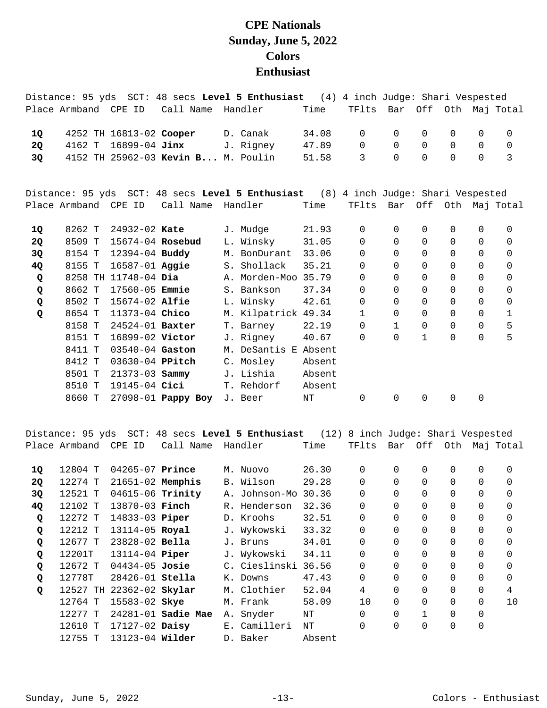## **CPE Nationals Sunday, June 5, 2022 Colors Enthusiast**

|           |        |                         |                                    | Distance: 95 yds SCT: 48 secs Level 5 Enthusiast (4) 4 inch Judge: Shari Vespested |        |              |              |              |              |                |                       |
|-----------|--------|-------------------------|------------------------------------|------------------------------------------------------------------------------------|--------|--------------|--------------|--------------|--------------|----------------|-----------------------|
|           |        | Place Armband CPE ID    | Call Name Handler                  |                                                                                    | Time   | TFlts        |              |              |              |                | Bar Off Oth Maj Total |
| 10        |        | 4252 TH 16813-02 Cooper |                                    | D. Canak                                                                           | 34.08  | $\Omega$     | $\Omega$     | $\Omega$     | 0            | $\Omega$       | $\Omega$              |
| <b>2Q</b> | 4162 T | 16899-04 Jinx           |                                    | J. Rigney                                                                          | 47.89  | $\mathbf 0$  | $\Omega$     | $\Omega$     | $\Omega$     | $\Omega$       | $\mathsf{O}$          |
| 3Q        |        |                         | 4152 TH 25962-03 Kevin B M. Poulin |                                                                                    | 51.58  | 3            | $\Omega$     | $\Omega$     | $\Omega$     | $\Omega$       | 3                     |
|           |        |                         |                                    | Distance: 95 yds SCT: 48 secs Level 5 Enthusiast (8) 4 inch Judge: Shari Vespested |        |              |              |              |              |                |                       |
|           |        | Place Armband CPE ID    | Call Name Handler                  |                                                                                    | Time   | TFlts        | Bar          |              |              |                | Off Oth Maj Total     |
| 10        | 8262 T | 24932-02 Kate           |                                    | J. Mudge                                                                           | 21.93  | $\mathbf 0$  | $\Omega$     | 0            | $\mathbf 0$  | $\Omega$       | $\Omega$              |
| <b>2Q</b> | 8509 T | 15674-04 Rosebud        |                                    | L. Winsky                                                                          | 31.05  | $\Omega$     | $\Omega$     | $\Omega$     | $\Omega$     | $\Omega$       | $\Omega$              |
| 3Q        | 8154 T | 12394-04 Buddy          |                                    | M. BonDurant                                                                       | 33.06  | $\Omega$     | $\Omega$     | $\Omega$     | $\Omega$     | $\Omega$       | $\mathbf 0$           |
| 4Q        | 8155 T | 16587-01 <b>Aggie</b>   |                                    | S. Shollack                                                                        | 35.21  | $\mathbf 0$  | 0            | 0            | $\mathsf{O}$ | $\mathsf{O}$   | $\mathbf 0$           |
| Q         |        | 8258 TH 11748-04 Dia    |                                    | A. Morden-Moo 35.79                                                                |        | 0            | 0            | 0            | $\mathbf 0$  | 0              | $\mathbf 0$           |
| Q         | 8662 T | $17560 - 05$ Emmie      |                                    | S. Bankson                                                                         | 37.34  | 0            | 0            | $\Omega$     | $\mathbf 0$  | 0              | 0                     |
| Q         | 8502 T | 15674-02 Alfie          |                                    | L. Winsky                                                                          | 42.61  | $\mathbf 0$  | 0            | 0            | $\mathsf{O}$ | $\mathbf 0$    | $\mathbf 0$           |
| Q         | 8654 T | 11373-04 Chico          |                                    | M. Kilpatrick 49.34                                                                |        | $\mathbf{1}$ | $\Omega$     | $\Omega$     | $\Omega$     | $\Omega$       | 1                     |
|           | 8158 T | $24524 - 01$ Baxter     |                                    | T. Barney                                                                          | 22.19  | $\Omega$     | $\mathbf{1}$ | 0            | $\mathbf 0$  | $\Omega$       | 5                     |
|           | 8151 T | 16899-02 Victor         |                                    | J. Rigney                                                                          | 40.67  | $\Omega$     | $\Omega$     | $\mathbf{1}$ | $\mathbf 0$  | $\Omega$       | 5                     |
|           | 8411 T | 03540-04 Gaston         |                                    | M. DeSantis E Absent                                                               |        |              |              |              |              |                |                       |
|           | 8412 T | 03630-04 PPitch         |                                    | C. Mosley                                                                          | Absent |              |              |              |              |                |                       |
|           | 8501 T | $21373 - 03$ Sammy      |                                    | J. Lishia                                                                          | Absent |              |              |              |              |                |                       |
|           | 8510 T | 19145-04 Cici           |                                    | T. Rehdorf                                                                         | Absent |              |              |              |              |                |                       |
|           | 8660 T |                         | 27098-01 Pappy Boy                 | J. Beer                                                                            | NT     | $\Omega$     | 0            | 0            | 0            | $\overline{0}$ |                       |

Distance: 95 yds SCT: 48 secs **Level 5 Enthusiast** (12) 8 inch Judge: Shari Vespested Place Armband CPE ID Call Name Handler Time TFlts Bar Off Oth Maj Total

| 1Q        | 12804 T | $04265 - 07$ Prince      |                        |    | M. Nuovo      | 26.30  | 0              | $\Omega$ | $\Omega$ | 0        | 0        | $\Omega$ |
|-----------|---------|--------------------------|------------------------|----|---------------|--------|----------------|----------|----------|----------|----------|----------|
| <b>2Q</b> | 12274 T | $21651-02$ Memphis       |                        |    | B. Wilson     | 29.28  | 0              | $\Omega$ | $\Omega$ | 0        | $\Omega$ | $\Omega$ |
| 3Q        | 12521 T | 04615-06 Trinity         |                        |    | A. Johnson-Mo | 30.36  | 0              | 0        | $\Omega$ | 0        | 0        | 0        |
| 4Q        | 12102 T | 13870-03 Finch           |                        |    | R. Henderson  | 32.36  | $\overline{0}$ | $\Omega$ | $\Omega$ | 0        | $\Omega$ | $\Omega$ |
| Q         | 12272 T | 14833-03 Piper           |                        |    | D. Kroohs     | 32.51  | 0              | 0        | $\Omega$ | 0        | 0        | 0        |
| Q         | 12212 T | 13114-05 Royal           |                        |    | J. Wykowski   | 33.32  | $\overline{0}$ | $\Omega$ | $\Omega$ | 0        | 0        | $\Omega$ |
| Q         | 12677 T | $23828 - 02$ Bella       |                        |    | J. Bruns      | 34.01  | $\overline{0}$ | $\Omega$ | $\Omega$ | 0        | 0        | $\Omega$ |
| Q         | 12201T  | 13114-04 <b>Piper</b>    |                        |    | J. Wykowski   | 34.11  | 0              | $\Omega$ | $\Omega$ | $\Omega$ | $\Omega$ | $\Omega$ |
| Q         | 12672 T | $04434 - 05$ Josie       |                        |    | C. Cieslinski | 36.56  | $\overline{0}$ | $\Omega$ | $\Omega$ | $\Omega$ | $\Omega$ | $\Omega$ |
| Q         | 12778T  | $28426 - 01$ Stella      |                        | К. | Downs         | 47.43  | $\Omega$       | $\Omega$ | $\Omega$ | $\Omega$ | $\Omega$ | $\Omega$ |
| Q         |         | 12527 TH 22362-02 Skylar |                        |    | M. Clothier   | 52.04  | 4              | $\Omega$ | $\Omega$ | $\Omega$ | $\Omega$ | 4        |
|           | 12764 T | 15583-02 Skye            |                        |    | M. Frank      | 58.09  | 10             | $\Omega$ | $\Omega$ | 0        | $\Omega$ | 10       |
|           | 12277 T |                          | $24281 - 01$ Sadie Mae |    | A. Snyder     | NΤ     | $\Omega$       | $\Omega$ | 1        | 0        | 0        |          |
|           | 12610 T | $17127 - 02$ Daisy       |                        |    | E. Camilleri  | ΝT     | 0              | 0        | $\Omega$ | 0        | 0        |          |
|           | 12755 T | $13123-04$ Wilder        |                        |    | D. Baker      | Absent |                |          |          |          |          |          |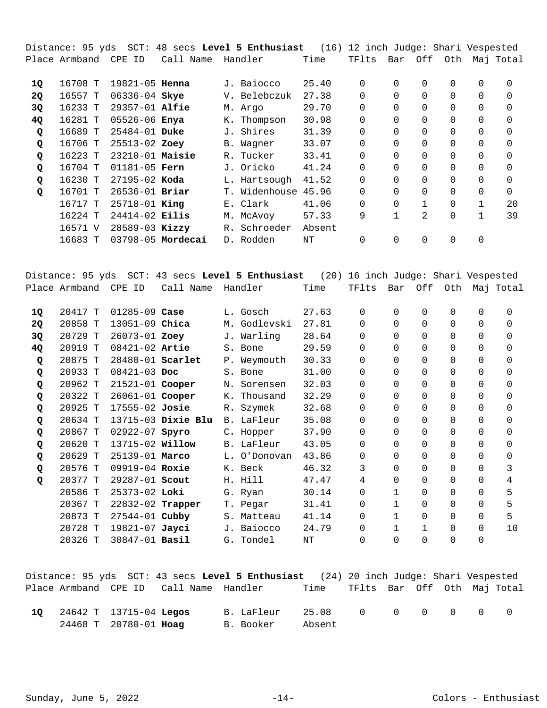Distance: 95 yds SCT: 48 secs **Level 5 Enthusiast** (16) 12 inch Judge: Shari Vespested Place Armband CPE ID Call Name Handler Time TFlts Bar Off Oth Maj Total

| 1Q | 16708 T | $19821 - 05$ Henna |                   |    | J. Baiocco    | 25.40  | 0        | 0        | $\Omega$ | 0        | 0        | 0        |
|----|---------|--------------------|-------------------|----|---------------|--------|----------|----------|----------|----------|----------|----------|
| 2Q | 16557 T | $06336 - 04$ Skye  |                   |    | V. Belebczuk  | 27.38  | 0        | 0        | 0        | 0        | 0        | 0        |
| 3Q | 16233 T | 29357-01 Alfie     |                   |    | M. Argo       | 29.70  | 0        | $\Omega$ | $\Omega$ | 0        | $\Omega$ | $\Omega$ |
| 4Q | 16281 T | 05526-06 Enya      |                   |    | K. Thompson   | 30.98  | 0        | $\Omega$ | $\Omega$ | 0        | 0        | 0        |
| Q  | 16689 T | $25484 - 01$ Duke  |                   |    | J. Shires     | 31.39  | 0        | 0        | 0        | 0        | 0        | $\Omega$ |
| Q  | 16706 T | 25513-02 Zoey      |                   |    | B. Wagner     | 33.07  | 0        | $\Omega$ | $\Omega$ | 0        | $\Omega$ | $\Omega$ |
| Q  | 16223 T | $23210-01$ Maisie  |                   |    | R. Tucker     | 33.41  | 0        | $\Omega$ | $\Omega$ | 0        | $\Omega$ | 0        |
| Q  | 16704 T | $01181 - 05$ Fern  |                   |    | J. Oricko     | 41.24  | 0        | 0        | $\Omega$ | 0        | 0        | $\Omega$ |
| Q  | 16230 T | $27195 - 02$ Koda  |                   |    | L. Hartsough  | 41.52  | 0        | $\Omega$ | $\Omega$ | 0        | $\Omega$ | $\Omega$ |
| Q  | 16701 T | $26536 - 01$ Briar |                   |    | T. Widenhouse | 45.96  | $\Omega$ | $\Omega$ | $\Omega$ | $\Omega$ | $\Omega$ | $\Omega$ |
|    | 16717 T | 25718-01 King      |                   |    | E. Clark      | 41.06  | 0        | 0        |          | 0        | 1        | 20       |
|    | 16224 T | $24414 - 02$ Eilis |                   |    | M. McAvoy     | 57.33  | 9        |          | 2        | 0        | 1        | 39       |
|    | 16571 V | 28589-03 Kizzy     |                   | R. | Schroeder     | Absent |          |          |          |          |          |          |
|    | 16683 T |                    | 03798-05 Mordecai |    | D. Rodden     | NΤ     | 0        | 0        |          | 0        |          |          |

Distance: 95 yds SCT: 43 secs **Level 5 Enthusiast** (20) 16 inch Judge: Shari Vespested Place Armband CPE ID Call Name Handler Time TFlts Bar Off Oth Maj Total 20417 T 01285-09 L. Gosch 27.63 0 0 0 0 0 0 **1Q Case**  20858 T 13051-09 M. Godlevski 27.81 0 0 0 0 0 0 **2Q Chica**  20729 T 26073-01 J. Warling 28.64 0 0 0 0 0 0 **3Q Zoey**  20919 T 08421-02 S. Bone 29.59 0 0 0 0 0 0 **4Q Artie**  20875 T 28480-01 P. Weymouth 30.33 0 0 0 0 0 0 **Q Scarlet**  20933 T 08421-03 S. Bone 31.00 0 0 0 0 0 0 **Q Doc**  20962 T 21521-01 N. Sorensen 32.03 0 0 0 0 0 0 **Q Cooper**  20322 T 26061-01 K. Thousand 32.29 0 0 0 0 0 0 **Q Cooper**  20925 T 17555-02 R. Szymek 32.68 0 0 0 0 0 0 **Q Josie**  20634 T 13715-03 B. LaFleur 35.08 0 0 0 0 0 0 **Q Dixie Blu**  20867 T 02922-07 C. Hopper 37.90 0 0 0 0 0 0 **Q Spyro**  20620 T 13715-02 B. LaFleur 43.05 0 0 0 0 0 0 **Q Willow**  20629 T 25139-01 L. O'Donovan 43.86 0 0 0 0 0 0 **Q Marco**  20576 T 09919-04 K. Beck 46.32 3 0 0 0 0 3 **Q Roxie**  20377 T 29287-01 H. Hill 47.47 4 0 0 0 0 4 **Q Scout**  20586 T 25373-02 G. Ryan 30.14 0 1 0 0 0 5 **Loki**  20367 T 22832-02 T. Pegar 31.41 0 1 0 0 0 5 **Trapper**  20873 T 27544-01 S. Matteau 41.14 0 1 0 0 0 5 **Cubby**  20728 T 19821-07 J. Baiocco 24.79 0 1 1 0 0 10 **Jayci**  20326 T 30847-01 G. Tondel NT 0 0 0 0 0 **Basil** 

|    |                               |                       |                                        | Distance: 95 yds SCT: 43 secs Level 5 Enthusiast (24) 20 inch Judge: Shari Vespested |                 |                             |  |  |        |
|----|-------------------------------|-----------------------|----------------------------------------|--------------------------------------------------------------------------------------|-----------------|-----------------------------|--|--|--------|
|    |                               |                       | Place Armband CPE ID Call Name Handler |                                                                                      | Time            | TFlts Bar Off Oth Maj-Total |  |  |        |
| 10 | 24642 T 13715-04 <b>Legos</b> |                       |                                        | B. LaFleur                                                                           | 25.08 0 0 0 0 0 |                             |  |  | $\cap$ |
|    |                               | 24468 T 20780-01 Hoag |                                        | B. Booker                                                                            | Absent          |                             |  |  |        |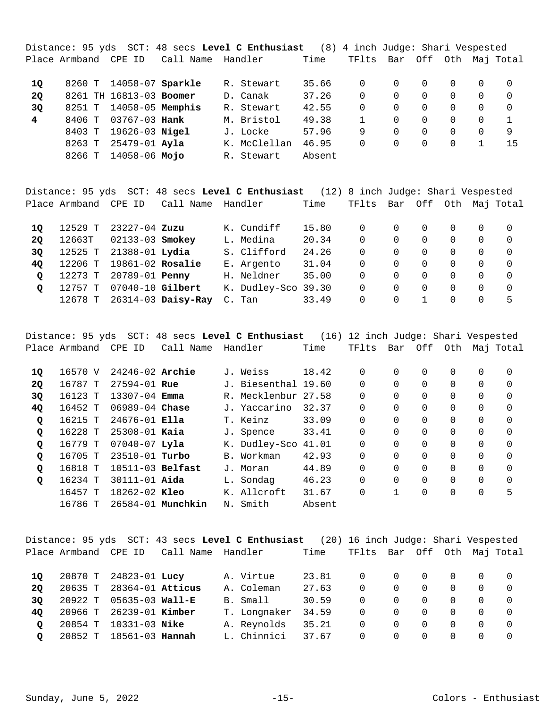Distance: 95 yds SCT: 48 secs **Level C Enthusiast** (8) 4 inch Judge: Shari Vespested Place Armband CPE ID Call Name Handler Time TFlts Bar Off Oth Maj Total 8260 T 14058-07 R. Stewart 35.66 0 0 0 0 0 0 **1Q Sparkle**  8261 TH 16813-03 D. Canak 37.26 0 0 0 0 0 0 **2Q Boomer**  8251 T 14058-05 R. Stewart 42.55 0 0 0 0 0 0 **3Q Memphis**  8406 T 03767-03 M. Bristol 49.38 1 0 0 0 0 1 **4 Hank**  8403 T 19626-03 J. Locke 57.96 9 0 0 0 0 9 **Nigel**  8263 T 25479-01 K. McClellan 46.95 0 0 0 0 1 15 **Ayla**  8266 T 14058-06 R. Stewart Absent **Mojo** 

Distance: 95 yds SCT: 48 secs **Level C Enthusiast** (12) 8 inch Judge: Shari Vespested Place Armband CPE ID Call Name Handler Time TFlts Bar Off Oth Maj Total

| 10       | 12529 T | 23227-04 Zuzu            |                            | K. Cundiff          | 15.80 | 0 |          |                  |          |   |    |
|----------|---------|--------------------------|----------------------------|---------------------|-------|---|----------|------------------|----------|---|----|
| 20       | 12663T  | 02133-03 Smokey          |                            | L. Medina           | 20.34 | 0 |          |                  | 0        |   |    |
| 30       |         | 12525 T 21388-01 Lydia   |                            | S. Clifford         | 24.26 | 0 |          |                  |          |   |    |
| 40       |         | 12206 T 19861-02 Rosalie |                            | E. Argento          | 31.04 | 0 |          |                  | $\Omega$ |   |    |
| $\Omega$ | 12273 T | 20789-01 Penny           |                            | H. Neldner          | 35.00 | 0 | $\Omega$ | $\left( \right)$ | $\Omega$ |   |    |
|          | 12757 ፐ | 07040-10 Gilbert         |                            | K. Dudley-Sco 39.30 |       | 0 | 0        |                  | $\Omega$ | 0 |    |
|          |         |                          | 12678 T 26314-03 Daisy-Ray | C. Tan              | 33.49 | 0 |          |                  | $\Omega$ |   | ь. |

Distance: 95 yds SCT: 48 secs **Level C Enthusiast** (16) 12 inch Judge: Shari Vespested Place Armband CPE ID Call Name Handler Time TFlts Bar Off Oth Maj Total

| 1Q        | 16570 V | $24246 - 02$ Archie |                   | J. Weiss            | 18.42  | 0        | 0 | 0        | 0 | 0        | 0        |
|-----------|---------|---------------------|-------------------|---------------------|--------|----------|---|----------|---|----------|----------|
| <b>2Q</b> | 16787 T | $27594 - 01$ Rue    |                   | J. Biesenthal 19.60 |        | 0        | 0 | 0        | 0 | $\Omega$ | $\Omega$ |
| 3Q        | 16123 T | $13307 - 04$ Emma   |                   | R. Mecklenbur 27.58 |        | 0        | 0 | 0        | 0 | 0        | $\Omega$ |
| 4Q        | 16452 T | $06989 - 04$ Chase  |                   | J. Yaccarino        | 32.37  | 0        | 0 | 0        | 0 | 0        | $\Omega$ |
| Q         | 16215 T | $24676 - 01$ Ella   |                   | T. Keinz            | 33.09  | $\Omega$ | 0 | $\Omega$ | 0 | 0        | $\Omega$ |
| Q         | 16228 T | $25308 - 01$ Kaia   |                   | J. Spence           | 33.41  | 0        | 0 | 0        | 0 | 0        | $\Omega$ |
| Q         | 16779 T | $07040 - 07$ Lyla   |                   | K. Dudley-Sco 41.01 |        | $\Omega$ | 0 | 0        | 0 | 0        | $\Omega$ |
| Q         | 16705 T | $23510 - 01$ Turbo  |                   | B. Workman          | 42.93  | $\Omega$ | 0 | 0        | 0 | 0        | $\Omega$ |
| Q         | 16818 T | $10511-03$ Belfast  |                   | J. Moran            | 44.89  | 0        | 0 | 0        | 0 | 0        | $\Omega$ |
| Q         | 16234 T | $30111 - 01$ Aida   |                   | L. Sondag           | 46.23  | 0        | 0 |          | 0 | 0        | $\Omega$ |
|           | 16457 T | $18262 - 02$ Kleo   |                   | K. Allcroft         | 31.67  | 0        |   |          | 0 | 0        | 5        |
|           | 16786 T |                     | 26584-01 Munchkin | N. Smith            | Absent |          |   |          |   |          |          |

|         |                         |                          |                   | Distance: 95 yds SCT: 43 secs Level C Enthusiast (20) 16 inch Judge: Shari Vespested |       |                |          |                |          |          |                       |
|---------|-------------------------|--------------------------|-------------------|--------------------------------------------------------------------------------------|-------|----------------|----------|----------------|----------|----------|-----------------------|
|         | Place Armband CPE ID    |                          | Call Name Handler |                                                                                      | Time  | TFlts          |          |                |          |          | Bar Off Oth Maj Total |
| 10      |                         | 20870 T 24823-01 Lucy    |                   | A. Virtue                                                                            | 23.81 | $\overline{0}$ | $\Omega$ | $\overline{0}$ | $\Omega$ | $\Omega$ | $\Omega$              |
| 20      |                         |                          |                   | A. Coleman                                                                           | 27.63 | $\Omega$       | $\Omega$ | $\Omega$       | $\Omega$ | $\Omega$ | $\Omega$              |
|         |                         | 20635 T 28364-01 Atticus |                   |                                                                                      |       |                |          |                |          |          |                       |
| 30      |                         | 20922 T 05635-03 Wall-E  |                   | B. Small                                                                             | 30.59 | $\Omega$       | $\Omega$ | $\Omega$       | $\Omega$ | 0        | $\Omega$              |
| 40      |                         | 20966 T 26239-01 Kimber  |                   | T. Longnaker                                                                         | 34.59 | $\Omega$       | $\Omega$ | $\Omega$       | $\Omega$ | $\Omega$ | $\Omega$              |
| $\circ$ |                         | 20854 T 10331-03 Nike    |                   | A. Reynolds                                                                          | 35.21 | $\Omega$       | $\Omega$ | $\overline{0}$ | $\Omega$ | $\Omega$ | $\Omega$              |
| $\circ$ | 20852 T 18561-03 Hannah |                          |                   | L. Chinnici                                                                          | 37.67 | $\Omega$       | $\Omega$ | $\overline{0}$ | $\Omega$ | 0        | 0                     |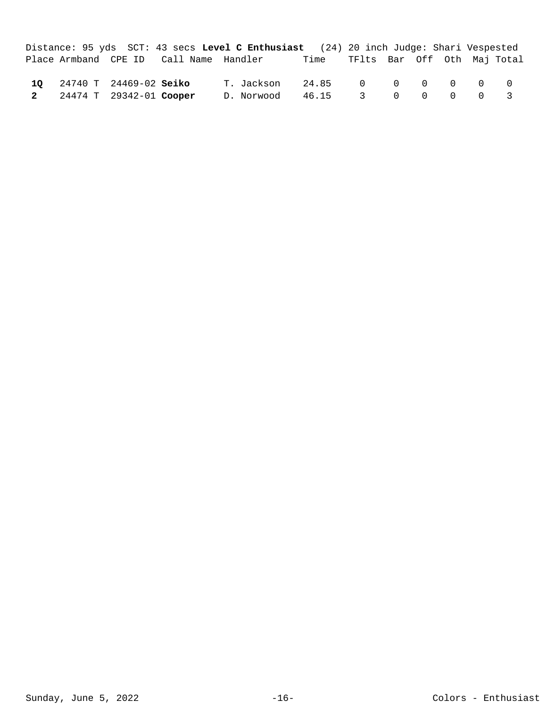|                           |                                        | Distance: 95 yds SCT: 43 secs Level C Enthusiast (24) 20 inch Judge: Shari Vespested |                                  |  |  |  |
|---------------------------|----------------------------------------|--------------------------------------------------------------------------------------|----------------------------------|--|--|--|
|                           | Place Armband CPE ID Call Name Handler |                                                                                      | Time TFlts Bar Off Oth Maj Total |  |  |  |
|                           |                                        |                                                                                      |                                  |  |  |  |
| 10 24740 T 24469-02 Seiko |                                        | T. Jackson 24.85 0 0 0 0 0 0                                                         |                                  |  |  |  |
| 2 24474 T 29342-01 Cooper |                                        | D. Norwood                                                                           | 46.15 3 0 0 0 0 3                |  |  |  |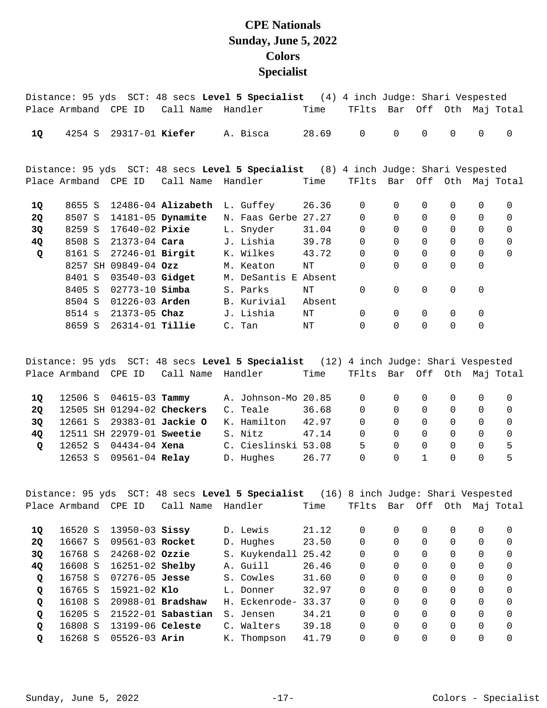## **CPE Nationals Sunday, June 5, 2022 Colors Specialist**

|           |         |                        |                        | Distance: 95 yds SCT: 48 secs Level 5 Specialist (4) 4 inch Judge: Shari Vespested |          |             |                       |             |              |             |                   |
|-----------|---------|------------------------|------------------------|------------------------------------------------------------------------------------|----------|-------------|-----------------------|-------------|--------------|-------------|-------------------|
|           |         | Place Armband CPE ID   | Call Name              | Handler                                                                            | Time     | TFlts       | Bar Off Oth Maj-Total |             |              |             |                   |
| 1Q        | 4254 S  | 29317-01 Kiefer        |                        | A. Bisca                                                                           | 28.69    | $\mathbf 0$ | $\Omega$              | $\Omega$    | $\mathsf{O}$ | $\mathbf 0$ | $\Omega$          |
|           |         |                        |                        | Distance: 95 yds SCT: 48 secs Level 5 Specialist (8) 4 inch Judge: Shari Vespested |          |             |                       |             |              |             |                   |
|           |         | Place Armband CPE ID   | Call Name              | Handler                                                                            | Time     | TFlts       | Bar                   |             |              |             | Off Oth Maj Total |
| 1Q        | 8655 S  |                        | $12486-04$ Alizabeth   | L. Guffey 26.36                                                                    |          | $\mathbf 0$ | $\Omega$              | $\Omega$    | $\mathbf 0$  | 0           | $\Omega$          |
| <b>2Q</b> | 8507 S  |                        | 14181-05 Dynamite      | N. Faas Gerbe 27.27                                                                |          | $\Omega$    | $\Omega$              | $\Omega$    | $\mathsf{O}$ | $\Omega$    | $\Omega$          |
| 3Q        |         | 8259 S 17640-02 Pixie  |                        | L. Snyder                                                                          | 31.04    | $\Omega$    | $\Omega$              | $\Omega$    | $\mathsf{O}$ | $\Omega$    | $\Omega$          |
| 4Q        |         |                        | 8508 S 21373-04 Cara   | J. Lishia                                                                          | 39.78    | $\mathbf 0$ | $\mathbf 0$           | 0           | $\mathsf{O}$ | $\mathbf 0$ | $\mathbf 0$       |
| Q         |         |                        | 8161 S 27246-01 Birgit | K. Wilkes 43.72                                                                    |          | $\mathbf 0$ | $\mathbf 0$           | $\mathbf 0$ | $\mathsf{O}$ | $\mathbf 0$ | $\Omega$          |
|           | 8257 SH | $09849 - 04$ Ozz       |                        | M. Keaton                                                                          | NT       | $\Omega$    | $\Omega$              | $\Omega$    | $\mathbf 0$  | $\Omega$    |                   |
|           | 8401 S  | 03540-03 Gidget        |                        | M. DeSantis                                                                        | E Absent |             |                       |             |              |             |                   |
|           | 8405 S  | $02773 - 10$ Simba     |                        | S. Parks                                                                           | NT       | $\mathbf 0$ | $\mathbf 0$           | $\mathbf 0$ | $\mathbf 0$  | $\mathbf 0$ |                   |
|           | 8504 S  | $01226 - 03$ Arden     |                        | B. Kurivial                                                                        | Absent   |             |                       |             |              |             |                   |
|           |         | 8514 s 21373-05 Chaz   |                        | J. Lishia                                                                          | NT       | $\Omega$    | $\Omega$              | $\Omega$    | $\mathbf 0$  | $\mathbf 0$ |                   |
|           | 8659 S  | 26314-01 <b>Tillie</b> |                        | C. Tan                                                                             | ΝT       | 0           | $\Omega$              | $\Omega$    | $\mathsf{O}$ | $\mathbf 0$ |                   |
|           |         |                        |                        |                                                                                    |          |             |                       |             |              |             |                   |

Distance: 95 yds SCT: 48 secs **Level 5 Specialist** (12) 4 inch Judge: Shari Vespested Place Armband CPE ID Call Name Handler Time TFlts Bar Off Oth Maj Total 10 12506 S 04615-03 Tammy A. Johnson-Mo 20.85 0 0 0 0 0 0 0 0 12505 SH 01294-02 C. Teale 36.68 0 0 0 0 0 0 **2Q Checkers**  12661 S 29383-01 K. Hamilton 42.97 0 0 0 0 0 0 **3Q Jackie O**  12511 SH 22979-01 S. Nitz 47.14 0 0 0 0 0 0 **4Q Sweetie**  12652 S 04434-04 C. Cieslinski 53.08 5 0 0 0 0 5 **Q Xena**  12653 S 01151 of **none**<br>12653 S 09561-04 **Relay D.** Hughes 26.77 0 0 1 0 0 5

|              |                      |                     |                        | Distance: 95 yds SCT: 48 secs Level 5 Specialist (16) 8 inch Judge: Shari Vespested |       |          |          |          |          |          |           |
|--------------|----------------------|---------------------|------------------------|-------------------------------------------------------------------------------------|-------|----------|----------|----------|----------|----------|-----------|
|              | Place Armband CPE ID |                     | Call Name              | Handler                                                                             | Time  | TFlts    |          | Bar Off  | Oth      |          | Maj Total |
|              |                      |                     |                        |                                                                                     |       |          |          |          |          |          |           |
| 10           | 16520 S              | $13950 - 03$ Sissy  |                        | D. Lewis                                                                            | 21.12 | $\Omega$ | $\Omega$ | $\Omega$ | $\Omega$ | 0        | $\Omega$  |
| <b>20</b>    | 16667 S              | 09561-03 Rocket     |                        | D. Hughes                                                                           | 23.50 | $\Omega$ | 0        | $\Omega$ | $\Omega$ | 0        | $\Omega$  |
| 3Q           | 16768 S              | $24268 - 02$ Ozzie  |                        | S. Kuykendall 25.42                                                                 |       | $\Omega$ | $\Omega$ | $\Omega$ | $\Omega$ | $\Omega$ | $\Omega$  |
| 4Q           | 16608 S              | $16251 - 02$ Shelby |                        | A. Guill                                                                            | 26.46 | 0        | 0        | $\Omega$ | $\Omega$ | $\Omega$ | $\Omega$  |
| Q            | 16758 S              | $07276 - 05$ Jesse  |                        | S. Cowles                                                                           | 31.60 | $\Omega$ | 0        | $\Omega$ | $\Omega$ | $\Omega$ | $\Omega$  |
| $\mathbf{Q}$ | 16765 S              | $15921-02$ Klo      |                        | L. Donner                                                                           | 32.97 | 0        | 0        | $\Omega$ | 0        | $\Omega$ | $\Omega$  |
| $\mathbf{Q}$ | 16108 S              |                     | 20988-01 Bradshaw      | H. Eckenrode-                                                                       | 33.37 | $\Omega$ | 0        | $\Omega$ | $\Omega$ | $\Omega$ | $\Omega$  |
| $\mathbf{Q}$ | 16205 S              |                     | $21522 - 01$ Sabastian | S. Jensen                                                                           | 34.21 | $\Omega$ | $\Omega$ | $\Omega$ | $\Omega$ | $\Omega$ | $\Omega$  |
| Q            | 16808 S              | 13199-06 Celeste    |                        | C. Walters                                                                          | 39.18 | $\Omega$ | $\Omega$ | $\Omega$ | $\Omega$ | $\Omega$ | $\Omega$  |
| Q            | 16268 S              | $05526 - 03$ Arin   |                        | K. Thompson                                                                         | 41.79 | $\Omega$ | 0        | 0        | $\Omega$ | 0        | $\Omega$  |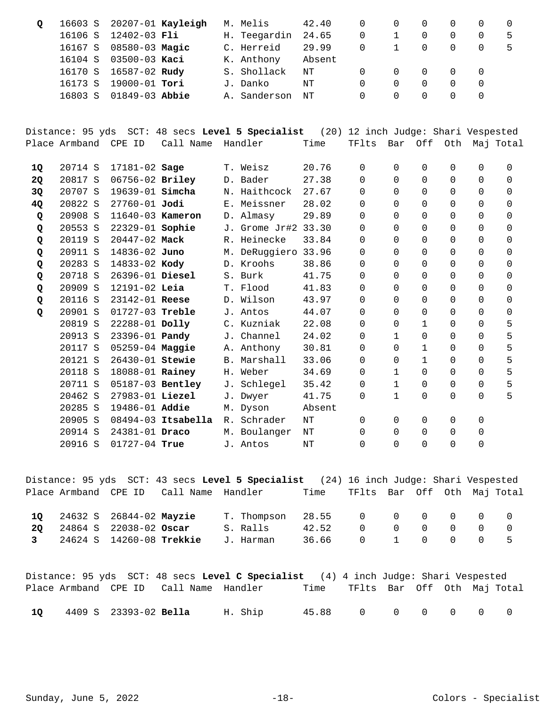| Q                         | 16603 S<br>16106 S<br>16167 S<br>16104 S<br>16170 S<br>16173 S<br>16803 S | 12402-03 Fli<br>08580-03 Magic<br>03500-03 Kaci<br>16587-02 Rudy<br>19000-01 Tori<br>01849-03 Abbie | 20207-01 Kayleigh  | M. Melis<br>H. Teegardin<br>C. Herreid<br>K. Anthony<br>S. Shollack<br>J. Danko<br>A. Sanderson | 42.40<br>24.65<br>29.99<br>Absent<br>$\rm{NT}$<br>$\rm{NT}$<br>$\rm{NT}$ | $\Omega$<br>$\overline{0}$<br>$\mathbf 0$<br>$\Omega$<br>$\Omega$<br>0 | 0<br>$\mathbf 1$<br>$\mathbf 1$<br>$\mathbf 0$<br>$\mathbf 0$<br>$\Omega$ | 0<br>$\overline{0}$<br>$\mathbf 0$<br>0<br>$\mathbf 0$<br>$\overline{0}$      | $\mathbf 0$<br>$\mathbf 0$<br>$\mathbf 0$<br>$\mathbf 0$<br>0<br>0      | $\Omega$<br>$\Omega$<br>0<br>0<br>$\mathbf 0$<br>0       | 0<br>5<br>5                                      |
|---------------------------|---------------------------------------------------------------------------|-----------------------------------------------------------------------------------------------------|--------------------|-------------------------------------------------------------------------------------------------|--------------------------------------------------------------------------|------------------------------------------------------------------------|---------------------------------------------------------------------------|-------------------------------------------------------------------------------|-------------------------------------------------------------------------|----------------------------------------------------------|--------------------------------------------------|
|                           |                                                                           |                                                                                                     |                    | Distance: 95 yds SCT: 48 secs Level 5 Specialist                                                |                                                                          | (20) 12 inch Judge: Shari Vespested                                    |                                                                           |                                                                               |                                                                         |                                                          |                                                  |
|                           | Place Armband                                                             | CPE ID                                                                                              | Call Name          | Handler                                                                                         | Time                                                                     | TFlts                                                                  | Bar                                                                       | Off                                                                           | Oth                                                                     |                                                          | Maj Total                                        |
| 1Q<br>2Q<br>3Q<br>4Q<br>Q | 20714 S<br>20817 S<br>20707 S<br>20822 S<br>20908 S                       | 17181-02 Sage<br>06756-02 Briley<br>19639-01 Simcha<br>27760-01 Jodi<br>11640-03 Kameron            |                    | T. Weisz<br>D. Bader<br>N. Haithcock<br>E. Meissner<br>D. Almasy                                | 20.76<br>27.38<br>27.67<br>28.02<br>29.89                                | $\Omega$<br>$\mathbf 0$<br>$\mathbf 0$<br>0<br>$\Omega$                | $\mathbf 0$<br>$\mathbf 0$<br>$\mathbf 0$<br>$\Omega$<br>$\Omega$         | $\overline{0}$<br>$\mathbf 0$<br>$\mathbf 0$<br>$\overline{0}$<br>$\mathbf 0$ | $\mathbf 0$<br>$\mathbf 0$<br>$\mathbf 0$<br>$\mathbf 0$<br>$\mathbf 0$ | $\Omega$<br>0<br>0<br>$\Omega$<br>$\Omega$               | 0<br>$\mathbf 0$<br>$\mathbf 0$<br>$\Omega$<br>0 |
| Q<br>Q<br>Q               | 20553 S<br>20119 S<br>20911 S                                             | 22329-01 Sophie<br>20447-02 Mack<br>14836-02 Juno                                                   |                    | J. Grome Jr#2 33.30<br>R. Heinecke<br>M. DeRuggiero 33.96                                       | 33.84                                                                    | 0<br>0<br>0                                                            | $\Omega$<br>$\Omega$<br>$\Omega$                                          | $\mathbf 0$<br>$\mathbf 0$<br>$\mathbf 0$                                     | $\mathbf 0$<br>$\mathbf 0$<br>$\mathbf 0$                               | $\Omega$<br>$\Omega$<br>0                                | 0<br>0<br>0                                      |
| Q<br>Q<br>Q               | 20283 S<br>20718 S<br>20909 S                                             | 14833-02 Kody<br>26396-01 Diesel<br>12191-02 Leia                                                   |                    | D. Kroohs<br>S. Burk<br>T. Flood                                                                | 38.86<br>41.75<br>41.83                                                  | 0<br>$\Omega$<br>$\Omega$                                              | $\Omega$<br>$\Omega$<br>$\Omega$                                          | $\mathbf 0$<br>$\Omega$<br>$\Omega$                                           | $\mathbf 0$<br>$\Omega$<br>$\mathbf 0$                                  | $\Omega$<br>$\Omega$<br>$\Omega$                         | 0<br>$\Omega$<br>$\Omega$                        |
| Q<br>Q                    | 20116 S<br>20901 S<br>20819 S<br>20913 S<br>20117 S                       | 23142-01 Reese<br>01727-03 Treble<br>22288-01 Dolly<br>23396-01 Pandy<br>05259-04 Maggie            |                    | D. Wilson<br>J. Antos<br>C. Kuzniak<br>J. Channel<br>A. Anthony                                 | 43.97<br>44.07<br>22.08<br>24.02<br>30.81                                | 0<br>0<br>0<br>0<br>0                                                  | $\Omega$<br>$\Omega$<br>$\mathbf 0$<br>$\mathbf{1}$<br>$\Omega$           | $\overline{0}$<br>0<br>$\mathbf{1}$<br>$\mathbf 0$<br>$\mathbf{1}$            | $\Omega$<br>$\mathbf 0$<br>$\mathbf 0$<br>$\overline{0}$<br>0           | $\Omega$<br>$\Omega$<br>$\Omega$<br>$\Omega$<br>$\Omega$ | 0<br>$\mathsf{O}\xspace$<br>5<br>5<br>5          |
|                           | 20121 S<br>20118 S<br>20711 S<br>20462 S<br>20285 S                       | 26430-01 Stewie<br>18088-01 Rainey<br>05187-03 Bentley<br>27983-01 Liezel<br>19486-01 Addie         |                    | B. Marshall<br>H. Weber<br>J. Schlegel<br>J. Dwyer<br>M. Dyson                                  | 33.06<br>34.69<br>35.42<br>41.75<br>Absent                               | 0<br>0<br>0<br>0                                                       | $\Omega$<br>$\mathbf{1}$<br>$\mathbf{1}$<br>$\mathbf{1}$                  | $\mathbf{1}$<br>$\Omega$<br>$\mathbf 0$<br>0                                  | $\mathbf 0$<br>$\Omega$<br>$\mathbf 0$<br>$\mathbf 0$                   | $\Omega$<br>$\Omega$<br>0<br>$\Omega$                    | 5<br>5<br>5<br>5                                 |
|                           | 20905 S                                                                   |                                                                                                     | 08494-03 Itsabella | R. Schrader                                                                                     | NT                                                                       | $\mathbf 0$                                                            | 0                                                                         | 0                                                                             | 0                                                                       | 0                                                        |                                                  |

|    |                            |                                        | Distance: 95 yds SCT: 43 secs Level 5 Specialist (24) 16 inch Judge: Shari Vespested |                                  |        |                                         |     |  |
|----|----------------------------|----------------------------------------|--------------------------------------------------------------------------------------|----------------------------------|--------|-----------------------------------------|-----|--|
|    |                            | Place Armband CPE ID Call Name Handler |                                                                                      | Time TFlts Bar Off Oth Maj Total |        |                                         |     |  |
| 10 | 24632 S 26844-02 Mayzie    |                                        | T. Thompson 28.55 0 0 0 0 0 0 0                                                      |                                  |        |                                         |     |  |
| 20 | 24864 S 22038-02 Oscar     |                                        | S. Ralls                                                                             | 42.52                            | $\cap$ | $\begin{matrix} 0 & 0 & 0 \end{matrix}$ | - 0 |  |
|    | 3 24624 S 14260-08 Trekkie |                                        | J. Harman                                                                            | 36.66 0 1 0 0 0 5                |        |                                         |     |  |

 20914 S 24381-01 M. Boulanger NT 0 0 0 0 0 **Draco**  20916 S 01727-04 J. Antos NT 0 0 0 0 0 **True** 

|      |                       |                                        | Distance: 95 yds SCT: 48 secs Level C Specialist (4) 4 inch Judge: Shari Vespested |                                  |  |  |  |
|------|-----------------------|----------------------------------------|------------------------------------------------------------------------------------|----------------------------------|--|--|--|
|      |                       | Place Armband CPE ID Call Name Handler |                                                                                    | Time TFlts Bar Off Oth Maj-Total |  |  |  |
| - 10 | 4409 S 23393-02 Bella |                                        | H. Ship                                                                            | 45.88 0 0 0 0 0 0                |  |  |  |